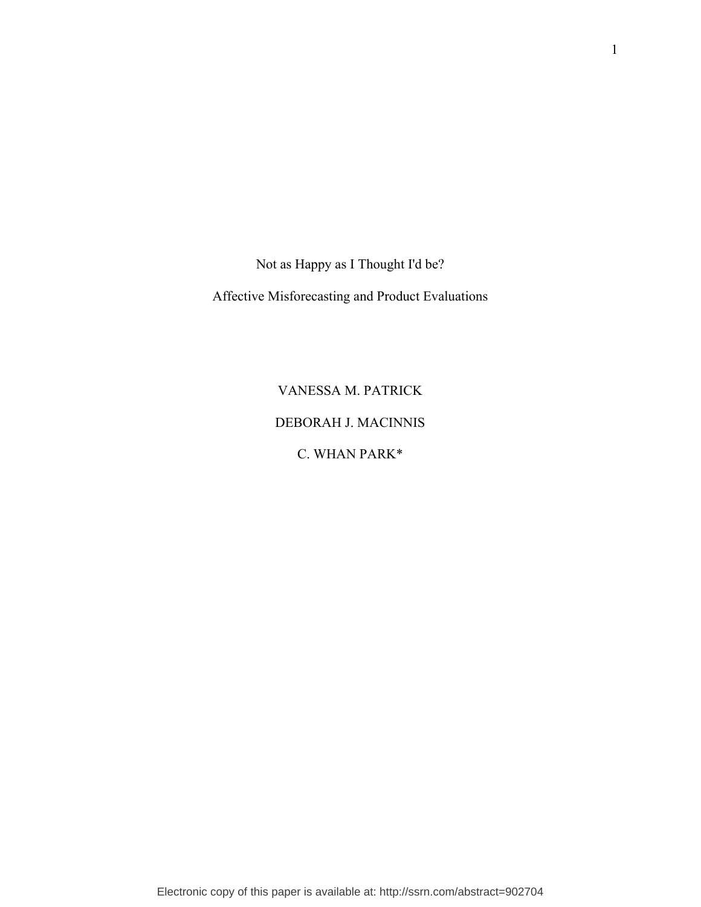Not as Happy as I Thought I'd be?

Affective Misforecasting and Product Evaluations

VANESSA M. PATRICK DEBORAH J. MACINNIS C. WHAN PARK\*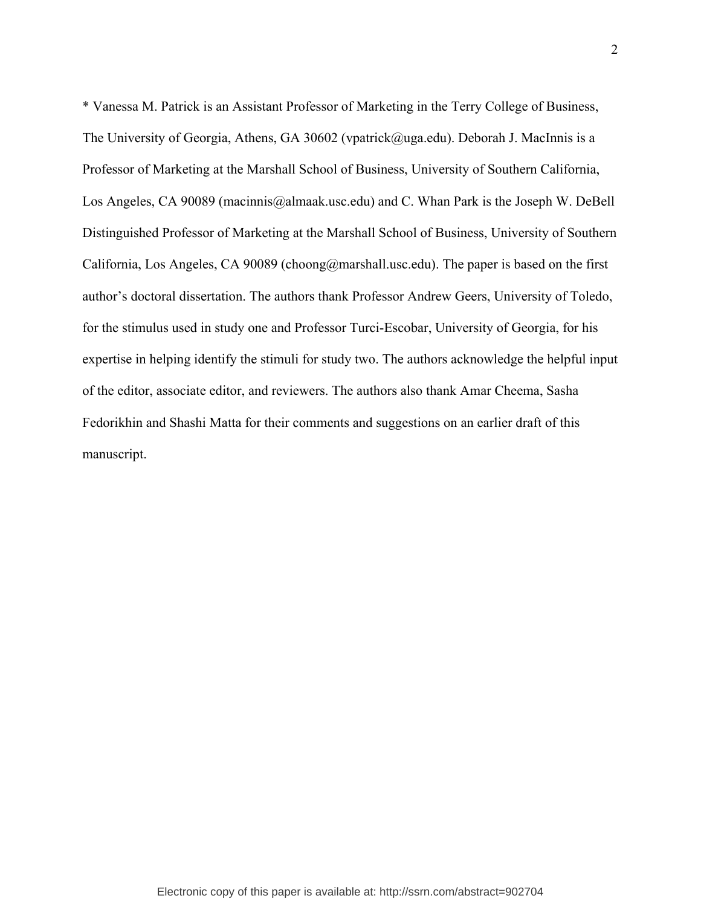\* Vanessa M. Patrick is an Assistant Professor of Marketing in the Terry College of Business, The University of Georgia, Athens, GA 30602 (vpatrick@uga.edu). Deborah J. MacInnis is a Professor of Marketing at the Marshall School of Business, University of Southern California, Los Angeles, CA 90089 (macinnis@almaak.usc.edu) and C. Whan Park is the Joseph W. DeBell Distinguished Professor of Marketing at the Marshall School of Business, University of Southern California, Los Angeles, CA 90089 (choong@marshall.usc.edu). The paper is based on the first author's doctoral dissertation. The authors thank Professor Andrew Geers, University of Toledo, for the stimulus used in study one and Professor Turci-Escobar, University of Georgia, for his expertise in helping identify the stimuli for study two. The authors acknowledge the helpful input of the editor, associate editor, and reviewers. The authors also thank Amar Cheema, Sasha Fedorikhin and Shashi Matta for their comments and suggestions on an earlier draft of this manuscript.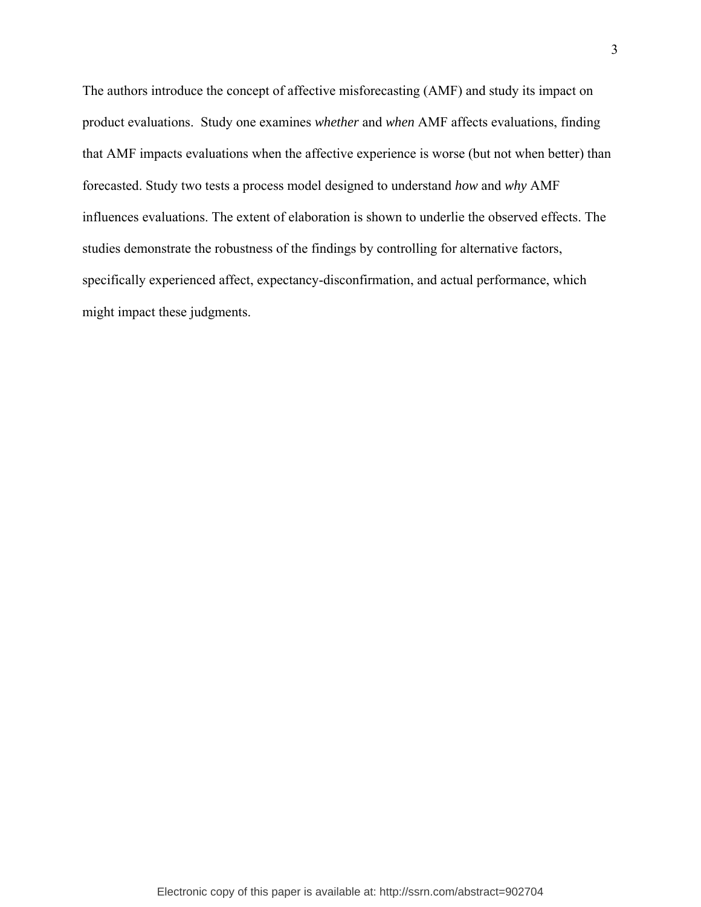The authors introduce the concept of affective misforecasting (AMF) and study its impact on product evaluations. Study one examines *whether* and *when* AMF affects evaluations, finding that AMF impacts evaluations when the affective experience is worse (but not when better) than forecasted. Study two tests a process model designed to understand *how* and *why* AMF influences evaluations. The extent of elaboration is shown to underlie the observed effects. The studies demonstrate the robustness of the findings by controlling for alternative factors, specifically experienced affect, expectancy-disconfirmation, and actual performance, which might impact these judgments.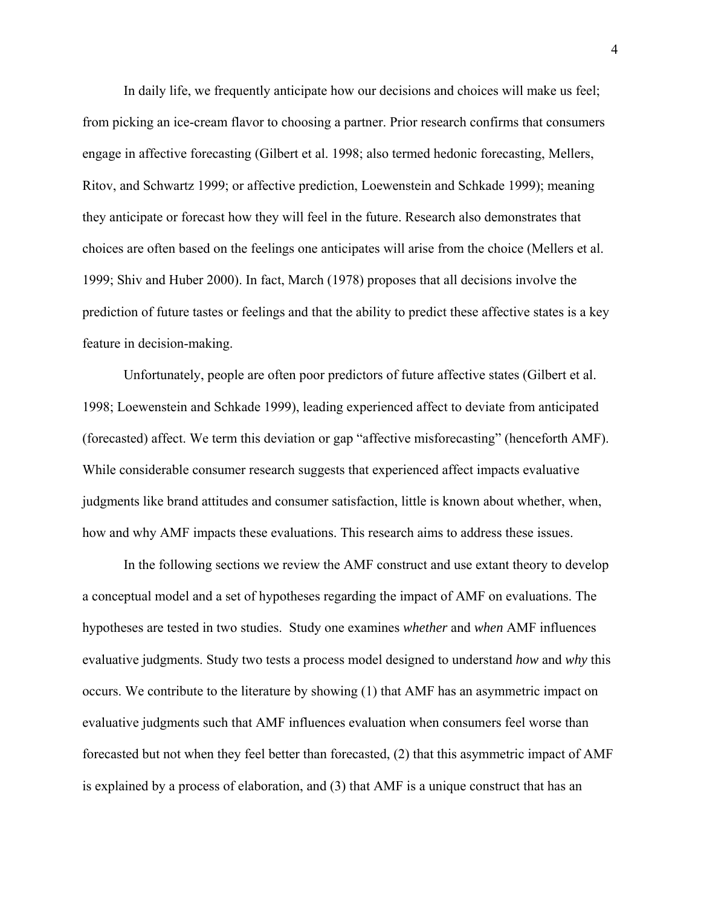In daily life, we frequently anticipate how our decisions and choices will make us feel; from picking an ice-cream flavor to choosing a partner. Prior research confirms that consumers engage in affective forecasting (Gilbert et al. 1998; also termed hedonic forecasting, Mellers, Ritov, and Schwartz 1999; or affective prediction, Loewenstein and Schkade 1999); meaning they anticipate or forecast how they will feel in the future. Research also demonstrates that choices are often based on the feelings one anticipates will arise from the choice (Mellers et al. 1999; Shiv and Huber 2000). In fact, March (1978) proposes that all decisions involve the prediction of future tastes or feelings and that the ability to predict these affective states is a key feature in decision-making.

Unfortunately, people are often poor predictors of future affective states (Gilbert et al. 1998; Loewenstein and Schkade 1999), leading experienced affect to deviate from anticipated (forecasted) affect. We term this deviation or gap "affective misforecasting" (henceforth AMF). While considerable consumer research suggests that experienced affect impacts evaluative judgments like brand attitudes and consumer satisfaction, little is known about whether, when, how and why AMF impacts these evaluations. This research aims to address these issues.

In the following sections we review the AMF construct and use extant theory to develop a conceptual model and a set of hypotheses regarding the impact of AMF on evaluations. The hypotheses are tested in two studies. Study one examines *whether* and *when* AMF influences evaluative judgments. Study two tests a process model designed to understand *how* and *why* this occurs. We contribute to the literature by showing (1) that AMF has an asymmetric impact on evaluative judgments such that AMF influences evaluation when consumers feel worse than forecasted but not when they feel better than forecasted, (2) that this asymmetric impact of AMF is explained by a process of elaboration, and (3) that AMF is a unique construct that has an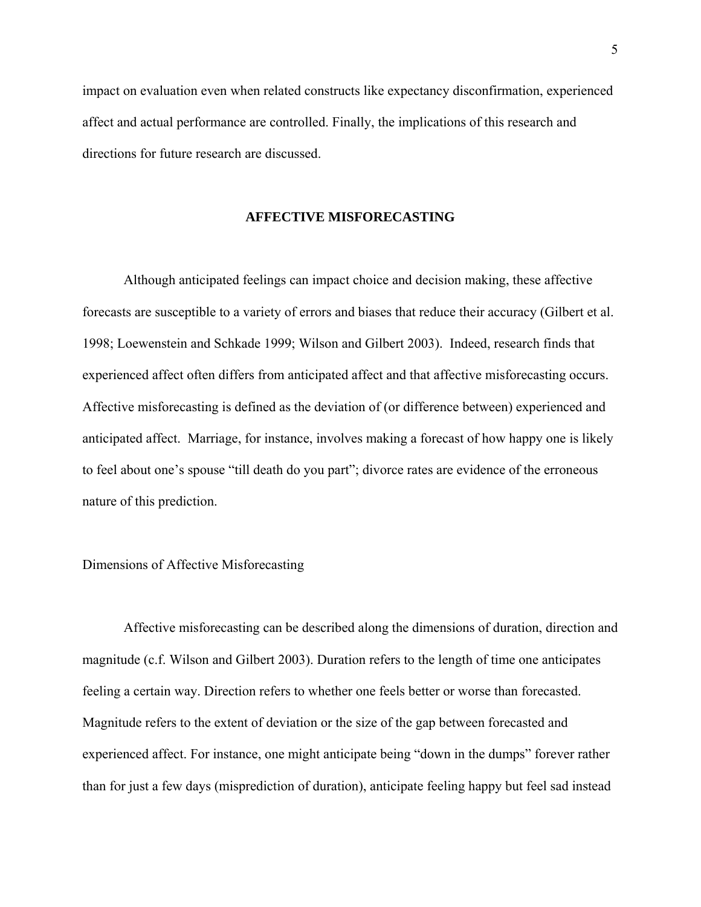impact on evaluation even when related constructs like expectancy disconfirmation, experienced affect and actual performance are controlled. Finally, the implications of this research and directions for future research are discussed.

### **AFFECTIVE MISFORECASTING**

Although anticipated feelings can impact choice and decision making, these affective forecasts are susceptible to a variety of errors and biases that reduce their accuracy (Gilbert et al. 1998; Loewenstein and Schkade 1999; Wilson and Gilbert 2003). Indeed, research finds that experienced affect often differs from anticipated affect and that affective misforecasting occurs. Affective misforecasting is defined as the deviation of (or difference between) experienced and anticipated affect. Marriage, for instance, involves making a forecast of how happy one is likely to feel about one's spouse "till death do you part"; divorce rates are evidence of the erroneous nature of this prediction.

#### Dimensions of Affective Misforecasting

Affective misforecasting can be described along the dimensions of duration, direction and magnitude (c.f. Wilson and Gilbert 2003). Duration refers to the length of time one anticipates feeling a certain way. Direction refers to whether one feels better or worse than forecasted. Magnitude refers to the extent of deviation or the size of the gap between forecasted and experienced affect. For instance, one might anticipate being "down in the dumps" forever rather than for just a few days (misprediction of duration), anticipate feeling happy but feel sad instead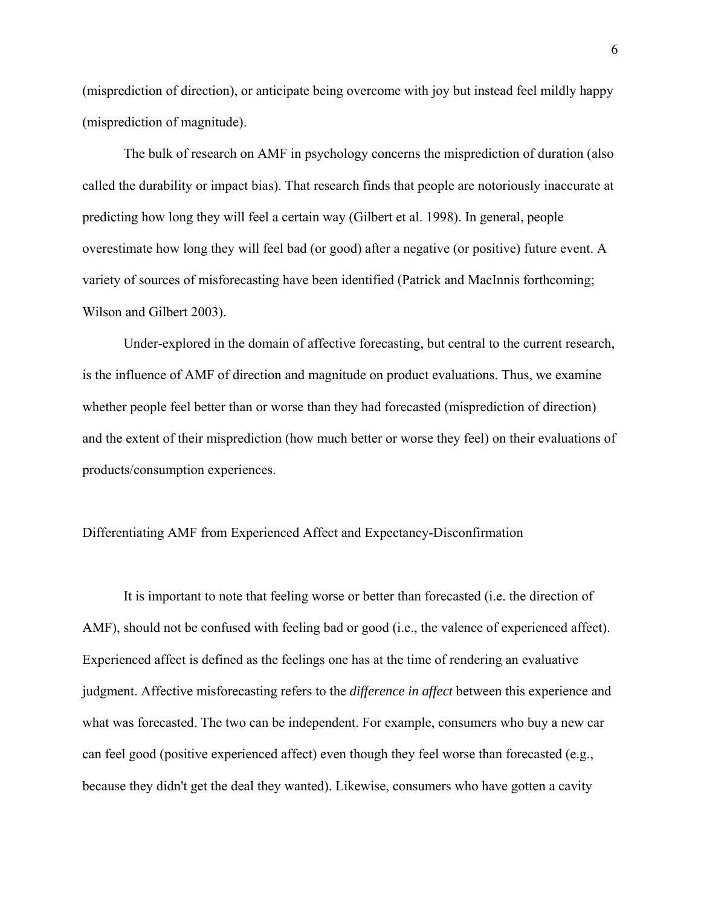(misprediction of direction), or anticipate being overcome with joy but instead feel mildly happy (misprediction of magnitude).

The bulk of research on AMF in psychology concerns the misprediction of duration (also called the durability or impact bias). That research finds that people are notoriously inaccurate at predicting how long they will feel a certain way (Gilbert et al. 1998). In general, people overestimate how long they will feel bad (or good) after a negative (or positive) future event. A variety of sources of misforecasting have been identified (Patrick and MacInnis forthcoming; Wilson and Gilbert 2003).

Under-explored in the domain of affective forecasting, but central to the current research, is the influence of AMF of direction and magnitude on product evaluations. Thus, we examine whether people feel better than or worse than they had forecasted (misprediction of direction) and the extent of their misprediction (how much better or worse they feel) on their evaluations of products/consumption experiences.

## Differentiating AMF from Experienced Affect and Expectancy-Disconfirmation

It is important to note that feeling worse or better than forecasted (i.e. the direction of AMF), should not be confused with feeling bad or good (i.e., the valence of experienced affect). Experienced affect is defined as the feelings one has at the time of rendering an evaluative judgment. Affective misforecasting refers to the *difference in affect* between this experience and what was forecasted. The two can be independent. For example, consumers who buy a new car can feel good (positive experienced affect) even though they feel worse than forecasted (e.g., because they didn't get the deal they wanted). Likewise, consumers who have gotten a cavity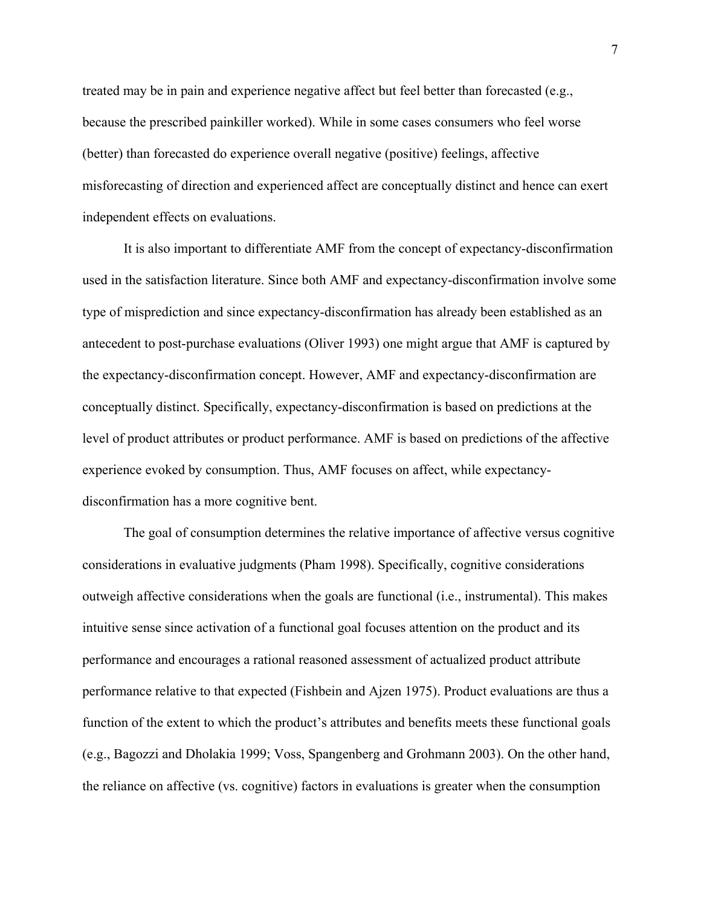treated may be in pain and experience negative affect but feel better than forecasted (e.g., because the prescribed painkiller worked). While in some cases consumers who feel worse (better) than forecasted do experience overall negative (positive) feelings, affective misforecasting of direction and experienced affect are conceptually distinct and hence can exert independent effects on evaluations.

It is also important to differentiate AMF from the concept of expectancy-disconfirmation used in the satisfaction literature. Since both AMF and expectancy-disconfirmation involve some type of misprediction and since expectancy-disconfirmation has already been established as an antecedent to post-purchase evaluations (Oliver 1993) one might argue that AMF is captured by the expectancy-disconfirmation concept. However, AMF and expectancy-disconfirmation are conceptually distinct. Specifically, expectancy-disconfirmation is based on predictions at the level of product attributes or product performance. AMF is based on predictions of the affective experience evoked by consumption. Thus, AMF focuses on affect, while expectancydisconfirmation has a more cognitive bent.

The goal of consumption determines the relative importance of affective versus cognitive considerations in evaluative judgments (Pham 1998). Specifically, cognitive considerations outweigh affective considerations when the goals are functional (i.e., instrumental). This makes intuitive sense since activation of a functional goal focuses attention on the product and its performance and encourages a rational reasoned assessment of actualized product attribute performance relative to that expected (Fishbein and Ajzen 1975). Product evaluations are thus a function of the extent to which the product's attributes and benefits meets these functional goals (e.g., Bagozzi and Dholakia 1999; Voss, Spangenberg and Grohmann 2003). On the other hand, the reliance on affective (vs. cognitive) factors in evaluations is greater when the consumption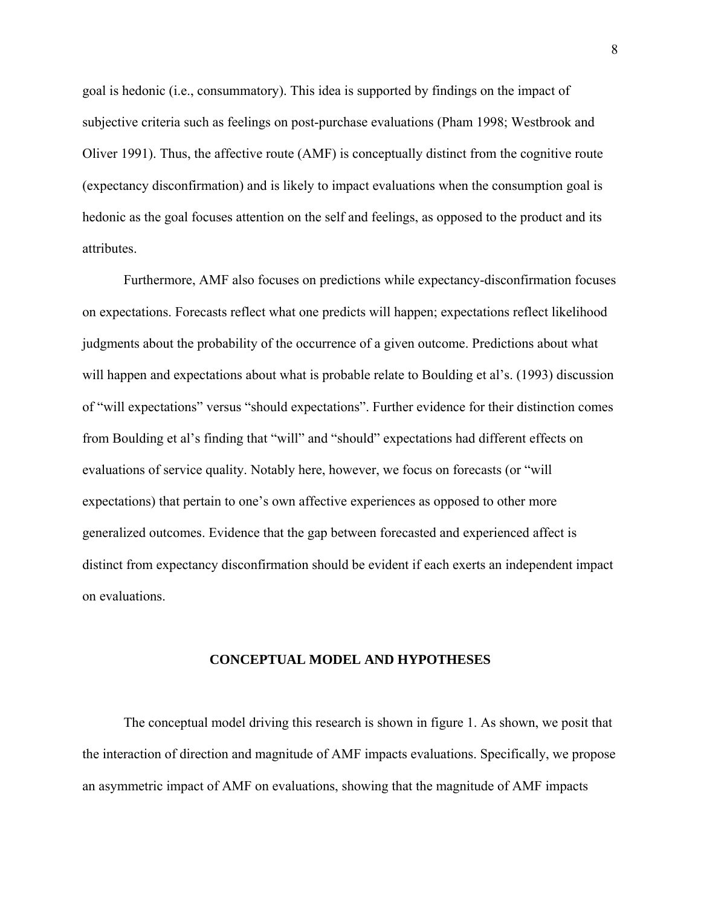goal is hedonic (i.e., consummatory). This idea is supported by findings on the impact of subjective criteria such as feelings on post-purchase evaluations (Pham 1998; Westbrook and Oliver 1991). Thus, the affective route (AMF) is conceptually distinct from the cognitive route (expectancy disconfirmation) and is likely to impact evaluations when the consumption goal is hedonic as the goal focuses attention on the self and feelings, as opposed to the product and its attributes.

Furthermore, AMF also focuses on predictions while expectancy-disconfirmation focuses on expectations. Forecasts reflect what one predicts will happen; expectations reflect likelihood judgments about the probability of the occurrence of a given outcome. Predictions about what will happen and expectations about what is probable relate to Boulding et al's. (1993) discussion of "will expectations" versus "should expectations". Further evidence for their distinction comes from Boulding et al's finding that "will" and "should" expectations had different effects on evaluations of service quality. Notably here, however, we focus on forecasts (or "will expectations) that pertain to one's own affective experiences as opposed to other more generalized outcomes. Evidence that the gap between forecasted and experienced affect is distinct from expectancy disconfirmation should be evident if each exerts an independent impact on evaluations.

#### **CONCEPTUAL MODEL AND HYPOTHESES**

The conceptual model driving this research is shown in figure 1. As shown, we posit that the interaction of direction and magnitude of AMF impacts evaluations. Specifically, we propose an asymmetric impact of AMF on evaluations, showing that the magnitude of AMF impacts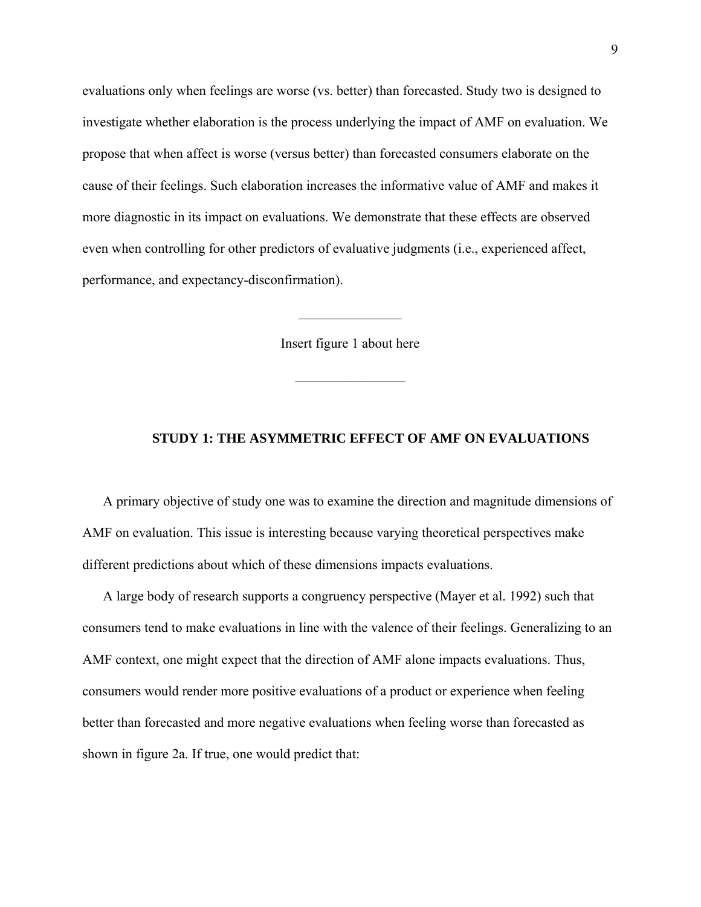evaluations only when feelings are worse (vs. better) than forecasted. Study two is designed to investigate whether elaboration is the process underlying the impact of AMF on evaluation. We propose that when affect is worse (versus better) than forecasted consumers elaborate on the cause of their feelings. Such elaboration increases the informative value of AMF and makes it more diagnostic in its impact on evaluations. We demonstrate that these effects are observed even when controlling for other predictors of evaluative judgments (i.e., experienced affect, performance, and expectancy-disconfirmation).

Insert figure 1 about here

 $\frac{1}{2}$ 

 $\mathcal{L}_\text{max}$ 

## **STUDY 1: THE ASYMMETRIC EFFECT OF AMF ON EVALUATIONS**

A primary objective of study one was to examine the direction and magnitude dimensions of AMF on evaluation. This issue is interesting because varying theoretical perspectives make different predictions about which of these dimensions impacts evaluations.

A large body of research supports a congruency perspective (Mayer et al. 1992) such that consumers tend to make evaluations in line with the valence of their feelings. Generalizing to an AMF context, one might expect that the direction of AMF alone impacts evaluations. Thus, consumers would render more positive evaluations of a product or experience when feeling better than forecasted and more negative evaluations when feeling worse than forecasted as shown in figure 2a. If true, one would predict that: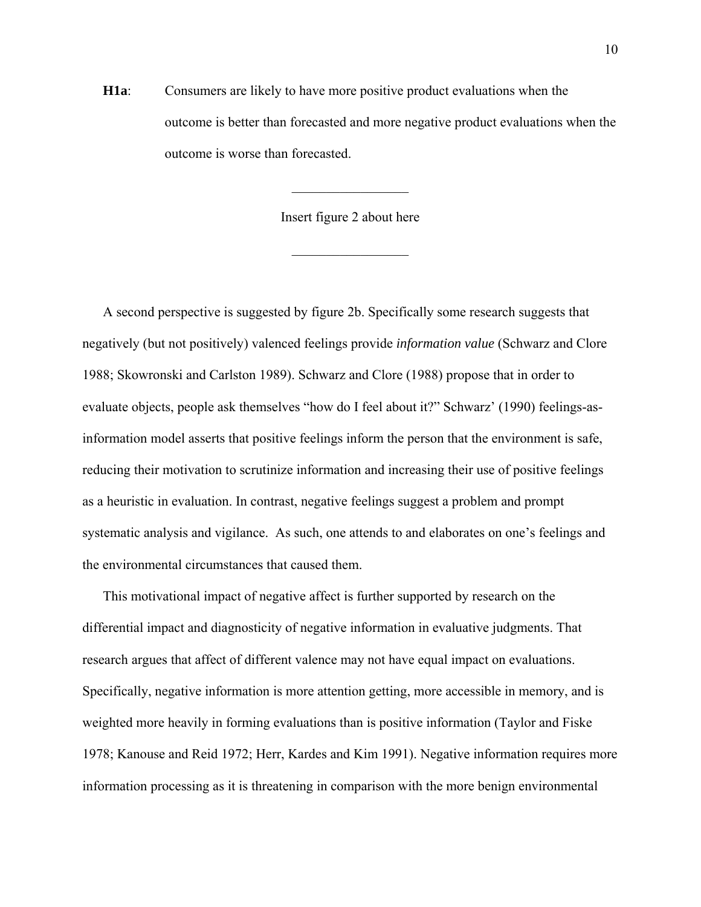**H1a**: Consumers are likely to have more positive product evaluations when the outcome is better than forecasted and more negative product evaluations when the outcome is worse than forecasted.

Insert figure 2 about here

 $\frac{1}{2}$ 

 $\frac{1}{2}$ 

A second perspective is suggested by figure 2b. Specifically some research suggests that negatively (but not positively) valenced feelings provide *information value* (Schwarz and Clore 1988; Skowronski and Carlston 1989). Schwarz and Clore (1988) propose that in order to evaluate objects, people ask themselves "how do I feel about it?" Schwarz' (1990) feelings-asinformation model asserts that positive feelings inform the person that the environment is safe, reducing their motivation to scrutinize information and increasing their use of positive feelings as a heuristic in evaluation. In contrast, negative feelings suggest a problem and prompt systematic analysis and vigilance. As such, one attends to and elaborates on one's feelings and the environmental circumstances that caused them.

This motivational impact of negative affect is further supported by research on the differential impact and diagnosticity of negative information in evaluative judgments. That research argues that affect of different valence may not have equal impact on evaluations. Specifically, negative information is more attention getting, more accessible in memory, and is weighted more heavily in forming evaluations than is positive information (Taylor and Fiske 1978; Kanouse and Reid 1972; Herr, Kardes and Kim 1991). Negative information requires more information processing as it is threatening in comparison with the more benign environmental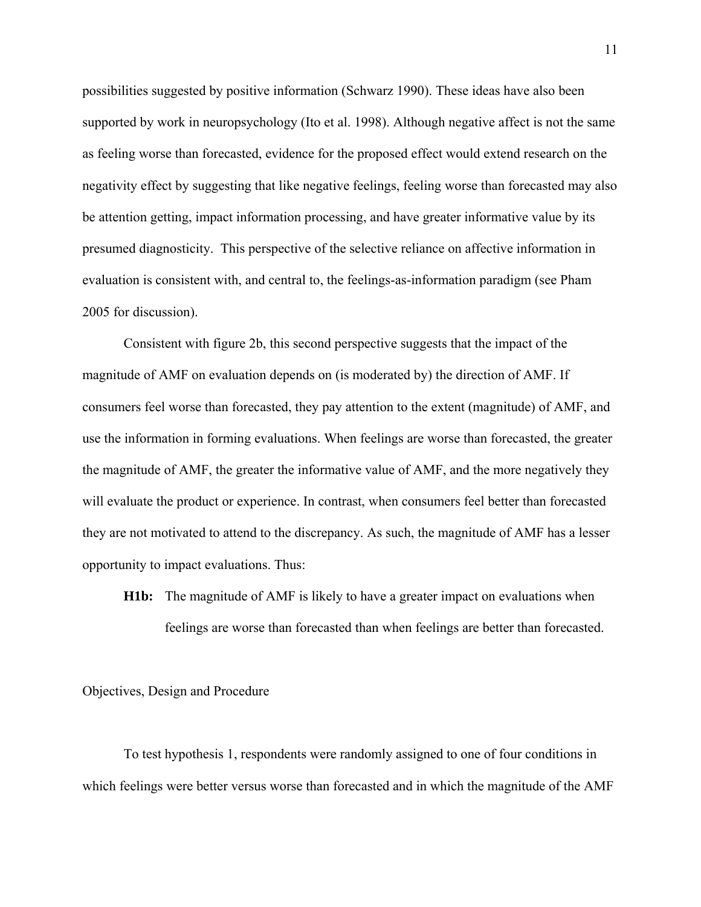possibilities suggested by positive information (Schwarz 1990). These ideas have also been supported by work in neuropsychology (Ito et al. 1998). Although negative affect is not the same as feeling worse than forecasted, evidence for the proposed effect would extend research on the negativity effect by suggesting that like negative feelings, feeling worse than forecasted may also be attention getting, impact information processing, and have greater informative value by its presumed diagnosticity. This perspective of the selective reliance on affective information in evaluation is consistent with, and central to, the feelings-as-information paradigm (see Pham 2005 for discussion).

Consistent with figure 2b, this second perspective suggests that the impact of the magnitude of AMF on evaluation depends on (is moderated by) the direction of AMF. If consumers feel worse than forecasted, they pay attention to the extent (magnitude) of AMF, and use the information in forming evaluations. When feelings are worse than forecasted, the greater the magnitude of AMF, the greater the informative value of AMF, and the more negatively they will evaluate the product or experience. In contrast, when consumers feel better than forecasted they are not motivated to attend to the discrepancy. As such, the magnitude of AMF has a lesser opportunity to impact evaluations. Thus:

**H1b:** The magnitude of AMF is likely to have a greater impact on evaluations when feelings are worse than forecasted than when feelings are better than forecasted.

### Objectives, Design and Procedure

To test hypothesis 1, respondents were randomly assigned to one of four conditions in which feelings were better versus worse than forecasted and in which the magnitude of the AMF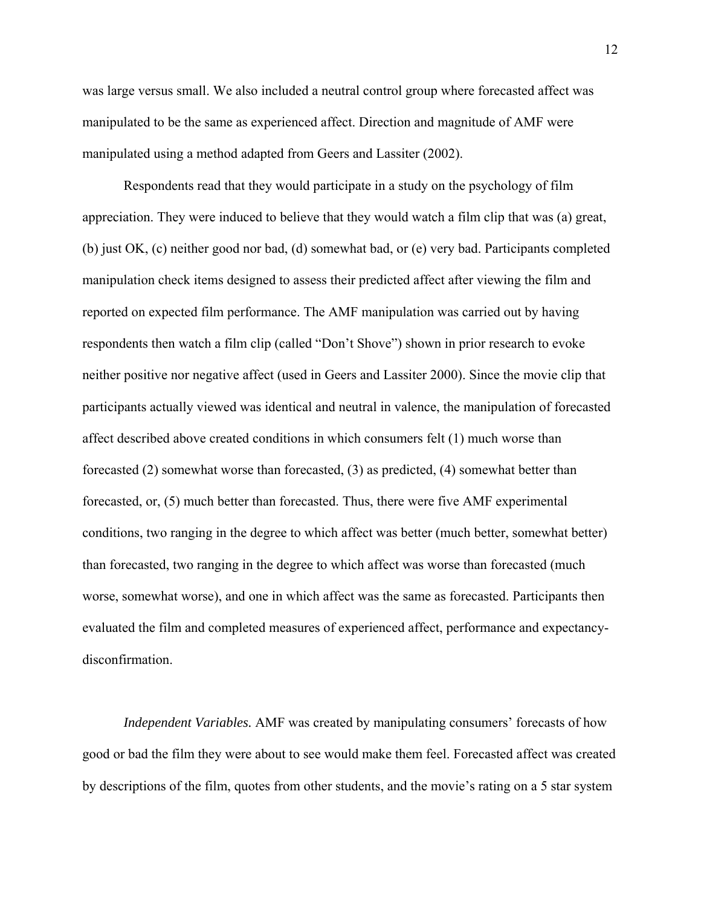was large versus small. We also included a neutral control group where forecasted affect was manipulated to be the same as experienced affect. Direction and magnitude of AMF were manipulated using a method adapted from Geers and Lassiter (2002).

Respondents read that they would participate in a study on the psychology of film appreciation. They were induced to believe that they would watch a film clip that was (a) great, (b) just OK, (c) neither good nor bad, (d) somewhat bad, or (e) very bad. Participants completed manipulation check items designed to assess their predicted affect after viewing the film and reported on expected film performance. The AMF manipulation was carried out by having respondents then watch a film clip (called "Don't Shove") shown in prior research to evoke neither positive nor negative affect (used in Geers and Lassiter 2000). Since the movie clip that participants actually viewed was identical and neutral in valence, the manipulation of forecasted affect described above created conditions in which consumers felt (1) much worse than forecasted (2) somewhat worse than forecasted, (3) as predicted, (4) somewhat better than forecasted, or, (5) much better than forecasted. Thus, there were five AMF experimental conditions, two ranging in the degree to which affect was better (much better, somewhat better) than forecasted, two ranging in the degree to which affect was worse than forecasted (much worse, somewhat worse), and one in which affect was the same as forecasted. Participants then evaluated the film and completed measures of experienced affect, performance and expectancydisconfirmation.

*Independent Variables.* AMF was created by manipulating consumers' forecasts of how good or bad the film they were about to see would make them feel. Forecasted affect was created by descriptions of the film, quotes from other students, and the movie's rating on a 5 star system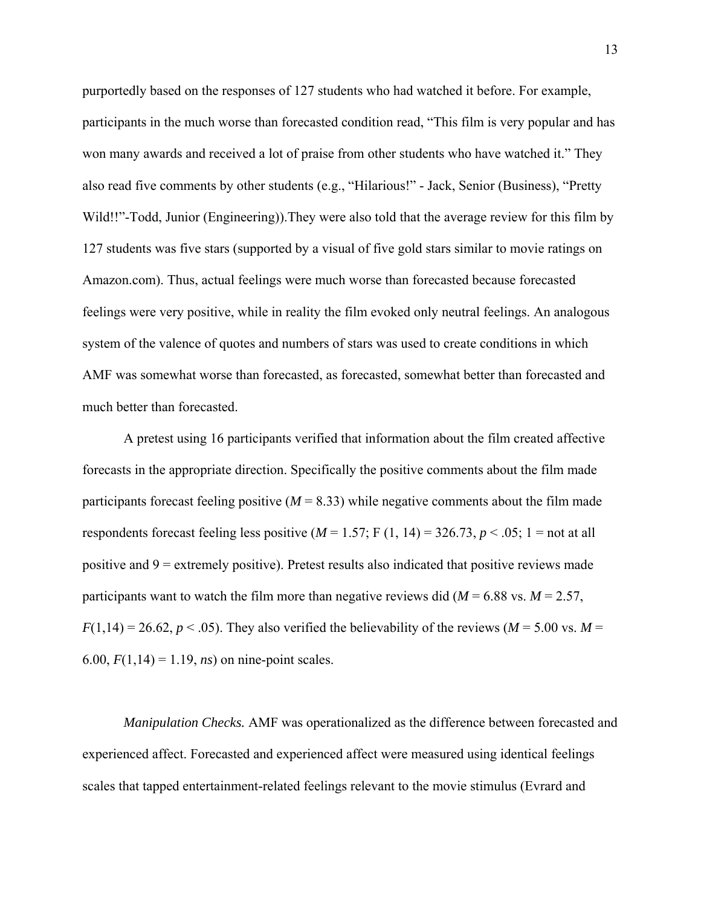purportedly based on the responses of 127 students who had watched it before. For example, participants in the much worse than forecasted condition read, "This film is very popular and has won many awards and received a lot of praise from other students who have watched it." They also read five comments by other students (e.g., "Hilarious!" - Jack, Senior (Business), "Pretty Wild!!"-Todd, Junior (Engineering)).They were also told that the average review for this film by 127 students was five stars (supported by a visual of five gold stars similar to movie ratings on Amazon.com). Thus, actual feelings were much worse than forecasted because forecasted feelings were very positive, while in reality the film evoked only neutral feelings. An analogous system of the valence of quotes and numbers of stars was used to create conditions in which AMF was somewhat worse than forecasted, as forecasted, somewhat better than forecasted and much better than forecasted.

A pretest using 16 participants verified that information about the film created affective forecasts in the appropriate direction. Specifically the positive comments about the film made participants forecast feeling positive  $(M = 8.33)$  while negative comments about the film made respondents forecast feeling less positive  $(M = 1.57; F(1, 14) = 326.73, p < .05; 1 =$  not at all positive and  $9 =$  extremely positive). Pretest results also indicated that positive reviews made participants want to watch the film more than negative reviews did ( $M = 6.88$  vs.  $M = 2.57$ ,  $F(1,14) = 26.62, p < .05$ ). They also verified the believability of the reviews ( $M = 5.00$  vs.  $M =$ 6.00,  $F(1,14) = 1.19$ , *ns*) on nine-point scales.

*Manipulation Checks.* AMF was operationalized as the difference between forecasted and experienced affect. Forecasted and experienced affect were measured using identical feelings scales that tapped entertainment-related feelings relevant to the movie stimulus (Evrard and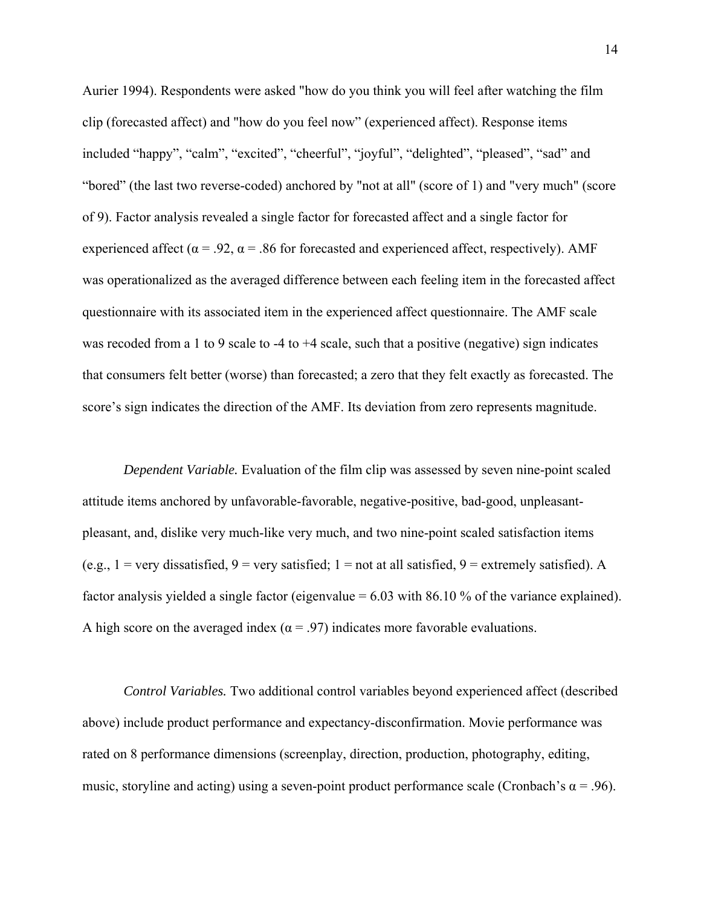Aurier 1994). Respondents were asked "how do you think you will feel after watching the film clip (forecasted affect) and "how do you feel now" (experienced affect). Response items included "happy", "calm", "excited", "cheerful", "joyful", "delighted", "pleased", "sad" and "bored" (the last two reverse-coded) anchored by "not at all" (score of 1) and "very much" (score of 9). Factor analysis revealed a single factor for forecasted affect and a single factor for experienced affect ( $\alpha$  = .92,  $\alpha$  = .86 for forecasted and experienced affect, respectively). AMF was operationalized as the averaged difference between each feeling item in the forecasted affect questionnaire with its associated item in the experienced affect questionnaire. The AMF scale was recoded from a 1 to 9 scale to -4 to +4 scale, such that a positive (negative) sign indicates that consumers felt better (worse) than forecasted; a zero that they felt exactly as forecasted. The score's sign indicates the direction of the AMF. Its deviation from zero represents magnitude.

*Dependent Variable.* Evaluation of the film clip was assessed by seven nine-point scaled attitude items anchored by unfavorable-favorable, negative-positive, bad-good, unpleasantpleasant, and, dislike very much-like very much, and two nine-point scaled satisfaction items (e.g., 1 = very dissatisfied, 9 = very satisfied; 1 = not at all satisfied, 9 = extremely satisfied). A factor analysis yielded a single factor (eigenvalue = 6.03 with 86.10 % of the variance explained). A high score on the averaged index ( $\alpha$  = .97) indicates more favorable evaluations.

 *Control Variables.* Two additional control variables beyond experienced affect (described above) include product performance and expectancy-disconfirmation. Movie performance was rated on 8 performance dimensions (screenplay, direction, production, photography, editing, music, storyline and acting) using a seven-point product performance scale (Cronbach's  $\alpha$  = .96).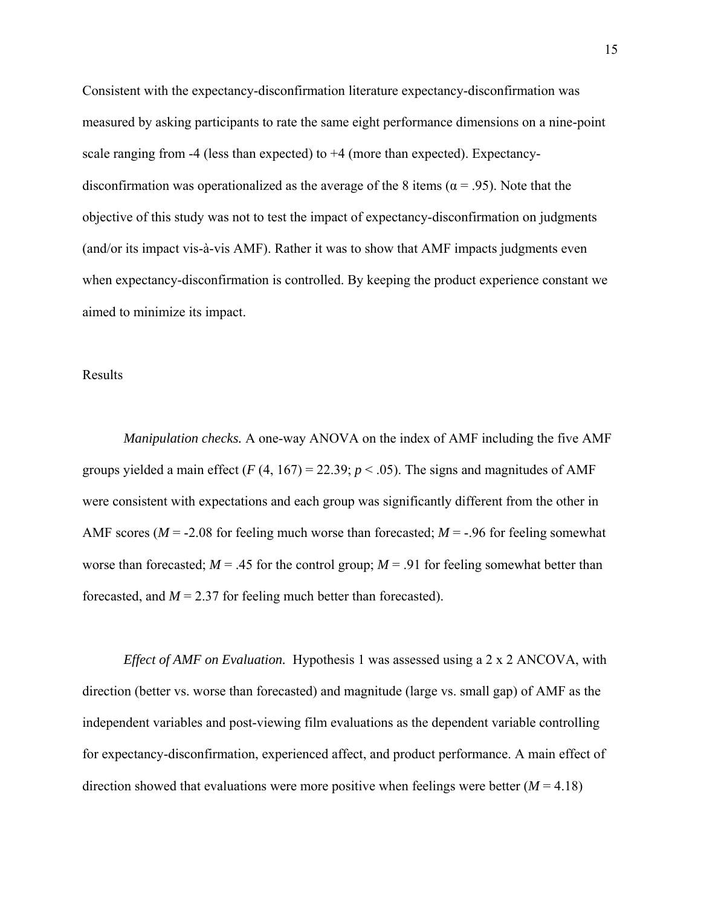Consistent with the expectancy-disconfirmation literature expectancy-disconfirmation was measured by asking participants to rate the same eight performance dimensions on a nine-point scale ranging from -4 (less than expected) to +4 (more than expected). Expectancydisconfirmation was operationalized as the average of the 8 items ( $\alpha$  = .95). Note that the objective of this study was not to test the impact of expectancy-disconfirmation on judgments (and/or its impact vis-à-vis AMF). Rather it was to show that AMF impacts judgments even when expectancy-disconfirmation is controlled. By keeping the product experience constant we aimed to minimize its impact.

Results

*Manipulation checks.* A one-way ANOVA on the index of AMF including the five AMF groups yielded a main effect  $(F (4, 167) = 22.39; p < .05)$ . The signs and magnitudes of AMF were consistent with expectations and each group was significantly different from the other in AMF scores ( $M = -2.08$  for feeling much worse than forecasted;  $M = -0.96$  for feeling somewhat worse than forecasted;  $M = .45$  for the control group;  $M = .91$  for feeling somewhat better than forecasted, and  $M = 2.37$  for feeling much better than forecasted).

*Effect of AMF on Evaluation.* Hypothesis 1 was assessed using a 2 x 2 ANCOVA, with direction (better vs. worse than forecasted) and magnitude (large vs. small gap) of AMF as the independent variables and post-viewing film evaluations as the dependent variable controlling for expectancy-disconfirmation, experienced affect, and product performance. A main effect of direction showed that evaluations were more positive when feelings were better  $(M = 4.18)$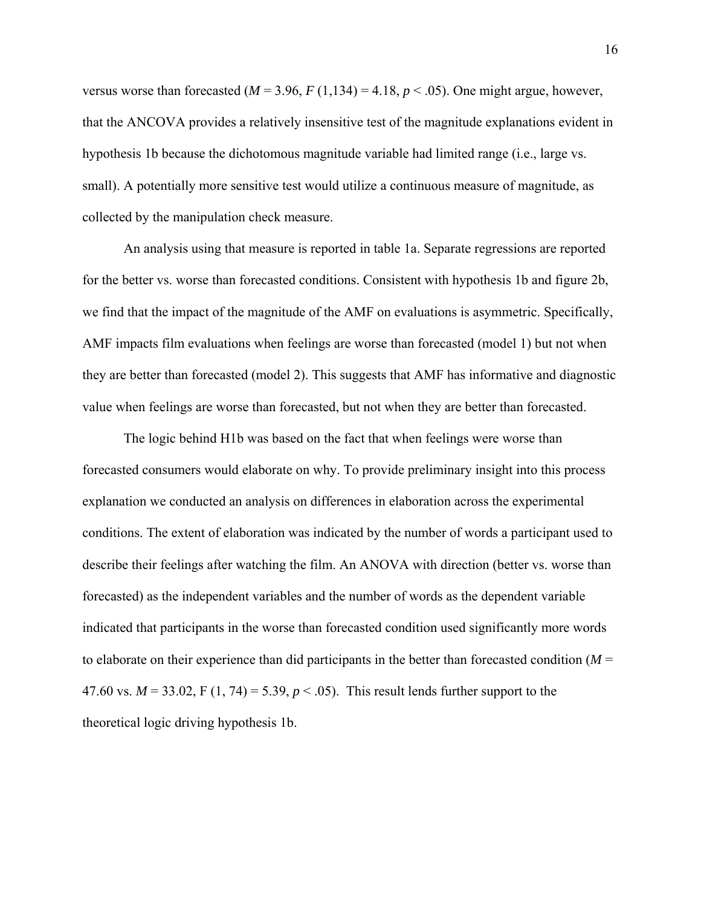versus worse than forecasted  $(M = 3.96, F(1,134) = 4.18, p < .05)$ . One might argue, however, that the ANCOVA provides a relatively insensitive test of the magnitude explanations evident in hypothesis 1b because the dichotomous magnitude variable had limited range (i.e., large vs. small). A potentially more sensitive test would utilize a continuous measure of magnitude, as collected by the manipulation check measure.

An analysis using that measure is reported in table 1a. Separate regressions are reported for the better vs. worse than forecasted conditions. Consistent with hypothesis 1b and figure 2b, we find that the impact of the magnitude of the AMF on evaluations is asymmetric. Specifically, AMF impacts film evaluations when feelings are worse than forecasted (model 1) but not when they are better than forecasted (model 2). This suggests that AMF has informative and diagnostic value when feelings are worse than forecasted, but not when they are better than forecasted.

The logic behind H1b was based on the fact that when feelings were worse than forecasted consumers would elaborate on why. To provide preliminary insight into this process explanation we conducted an analysis on differences in elaboration across the experimental conditions. The extent of elaboration was indicated by the number of words a participant used to describe their feelings after watching the film. An ANOVA with direction (better vs. worse than forecasted) as the independent variables and the number of words as the dependent variable indicated that participants in the worse than forecasted condition used significantly more words to elaborate on their experience than did participants in the better than forecasted condition (*M* = 47.60 vs.  $M = 33.02$ , F (1, 74) = 5.39,  $p < .05$ ). This result lends further support to the theoretical logic driving hypothesis 1b.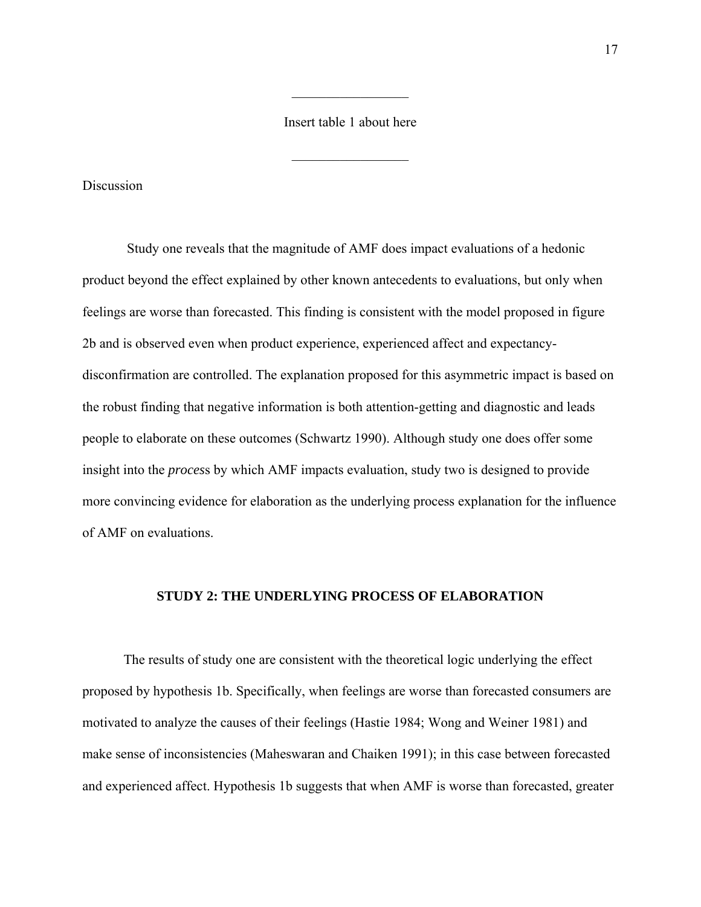## Insert table 1 about here

 $\mathcal{L}_\text{max}$ 

 $\frac{1}{2}$ 

**Discussion** 

 Study one reveals that the magnitude of AMF does impact evaluations of a hedonic product beyond the effect explained by other known antecedents to evaluations, but only when feelings are worse than forecasted. This finding is consistent with the model proposed in figure 2b and is observed even when product experience, experienced affect and expectancydisconfirmation are controlled. The explanation proposed for this asymmetric impact is based on the robust finding that negative information is both attention-getting and diagnostic and leads people to elaborate on these outcomes (Schwartz 1990). Although study one does offer some insight into the *proces*s by which AMF impacts evaluation, study two is designed to provide more convincing evidence for elaboration as the underlying process explanation for the influence of AMF on evaluations.

#### **STUDY 2: THE UNDERLYING PROCESS OF ELABORATION**

The results of study one are consistent with the theoretical logic underlying the effect proposed by hypothesis 1b. Specifically, when feelings are worse than forecasted consumers are motivated to analyze the causes of their feelings (Hastie 1984; Wong and Weiner 1981) and make sense of inconsistencies (Maheswaran and Chaiken 1991); in this case between forecasted and experienced affect. Hypothesis 1b suggests that when AMF is worse than forecasted, greater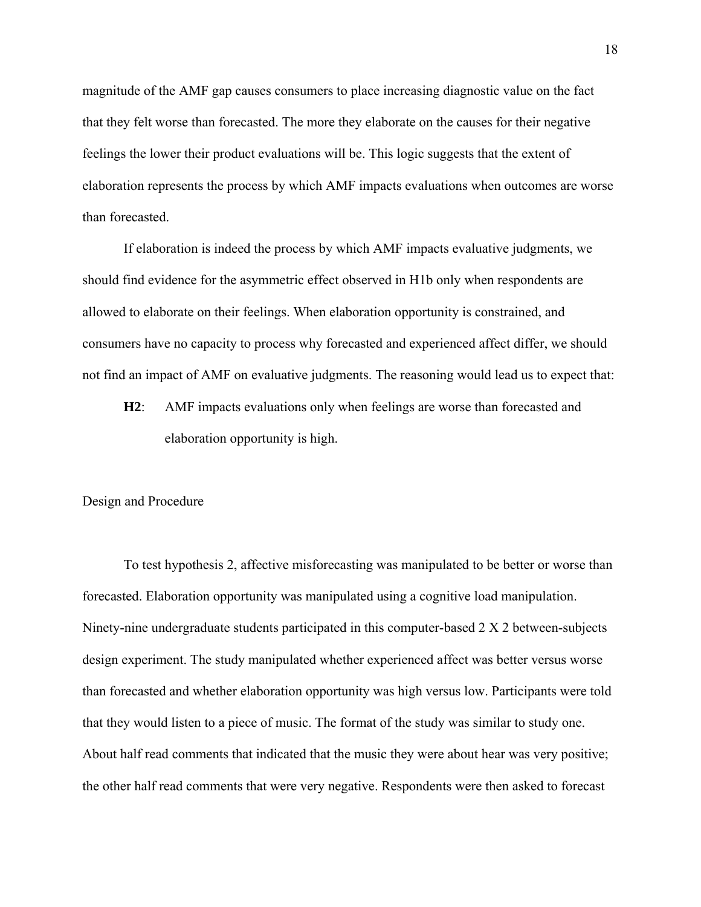magnitude of the AMF gap causes consumers to place increasing diagnostic value on the fact that they felt worse than forecasted. The more they elaborate on the causes for their negative feelings the lower their product evaluations will be. This logic suggests that the extent of elaboration represents the process by which AMF impacts evaluations when outcomes are worse than forecasted.

If elaboration is indeed the process by which AMF impacts evaluative judgments, we should find evidence for the asymmetric effect observed in H1b only when respondents are allowed to elaborate on their feelings. When elaboration opportunity is constrained, and consumers have no capacity to process why forecasted and experienced affect differ, we should not find an impact of AMF on evaluative judgments. The reasoning would lead us to expect that:

**H2**: AMF impacts evaluations only when feelings are worse than forecasted and elaboration opportunity is high.

#### Design and Procedure

To test hypothesis 2, affective misforecasting was manipulated to be better or worse than forecasted. Elaboration opportunity was manipulated using a cognitive load manipulation. Ninety-nine undergraduate students participated in this computer-based 2 X 2 between-subjects design experiment. The study manipulated whether experienced affect was better versus worse than forecasted and whether elaboration opportunity was high versus low. Participants were told that they would listen to a piece of music. The format of the study was similar to study one. About half read comments that indicated that the music they were about hear was very positive; the other half read comments that were very negative. Respondents were then asked to forecast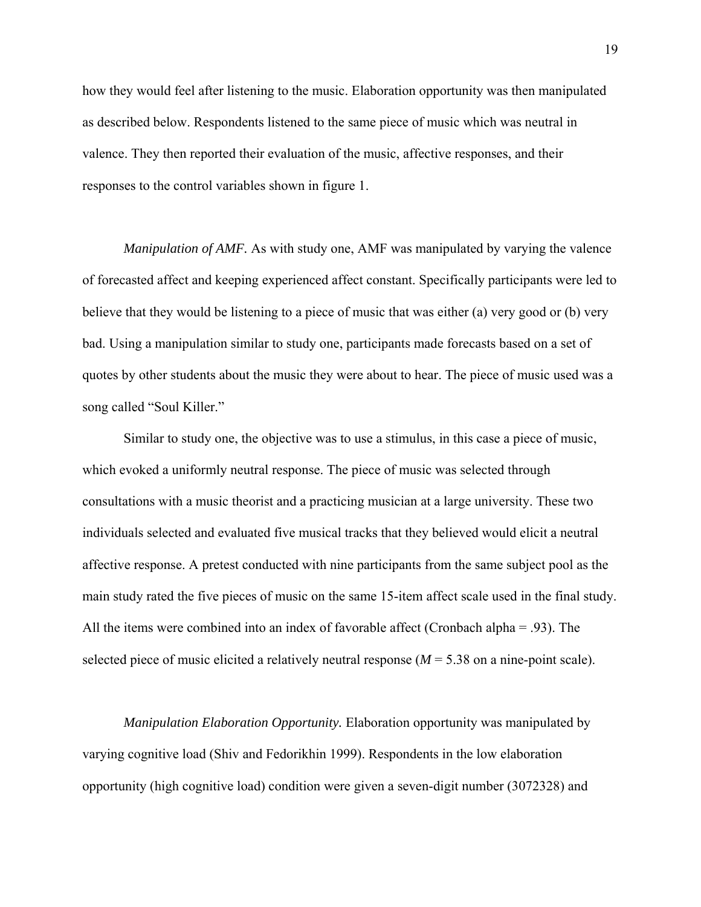how they would feel after listening to the music. Elaboration opportunity was then manipulated as described below. Respondents listened to the same piece of music which was neutral in valence. They then reported their evaluation of the music, affective responses, and their responses to the control variables shown in figure 1.

*Manipulation of AMF.* As with study one, AMF was manipulated by varying the valence of forecasted affect and keeping experienced affect constant. Specifically participants were led to believe that they would be listening to a piece of music that was either (a) very good or (b) very bad. Using a manipulation similar to study one, participants made forecasts based on a set of quotes by other students about the music they were about to hear. The piece of music used was a song called "Soul Killer."

Similar to study one, the objective was to use a stimulus, in this case a piece of music, which evoked a uniformly neutral response. The piece of music was selected through consultations with a music theorist and a practicing musician at a large university. These two individuals selected and evaluated five musical tracks that they believed would elicit a neutral affective response. A pretest conducted with nine participants from the same subject pool as the main study rated the five pieces of music on the same 15-item affect scale used in the final study. All the items were combined into an index of favorable affect (Cronbach alpha = .93). The selected piece of music elicited a relatively neutral response  $(M = 5.38$  on a nine-point scale).

*Manipulation Elaboration Opportunity.* Elaboration opportunity was manipulated by varying cognitive load (Shiv and Fedorikhin 1999). Respondents in the low elaboration opportunity (high cognitive load) condition were given a seven-digit number (3072328) and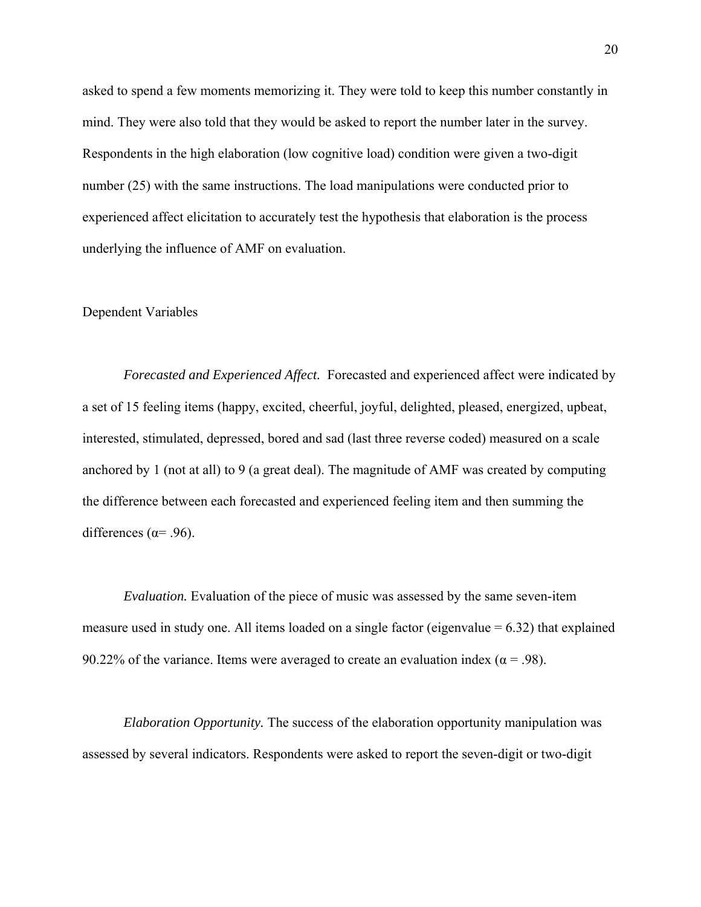asked to spend a few moments memorizing it. They were told to keep this number constantly in mind. They were also told that they would be asked to report the number later in the survey. Respondents in the high elaboration (low cognitive load) condition were given a two-digit number (25) with the same instructions. The load manipulations were conducted prior to experienced affect elicitation to accurately test the hypothesis that elaboration is the process underlying the influence of AMF on evaluation.

### Dependent Variables

*Forecasted and Experienced Affect.* Forecasted and experienced affect were indicated by a set of 15 feeling items (happy, excited, cheerful, joyful, delighted, pleased, energized, upbeat, interested, stimulated, depressed, bored and sad (last three reverse coded) measured on a scale anchored by 1 (not at all) to 9 (a great deal). The magnitude of AMF was created by computing the difference between each forecasted and experienced feeling item and then summing the differences ( $\alpha$ = .96).

*Evaluation.* Evaluation of the piece of music was assessed by the same seven-item measure used in study one. All items loaded on a single factor (eigenvalue  $= 6.32$ ) that explained 90.22% of the variance. Items were averaged to create an evaluation index ( $\alpha$  = .98).

*Elaboration Opportunity.* The success of the elaboration opportunity manipulation was assessed by several indicators. Respondents were asked to report the seven-digit or two-digit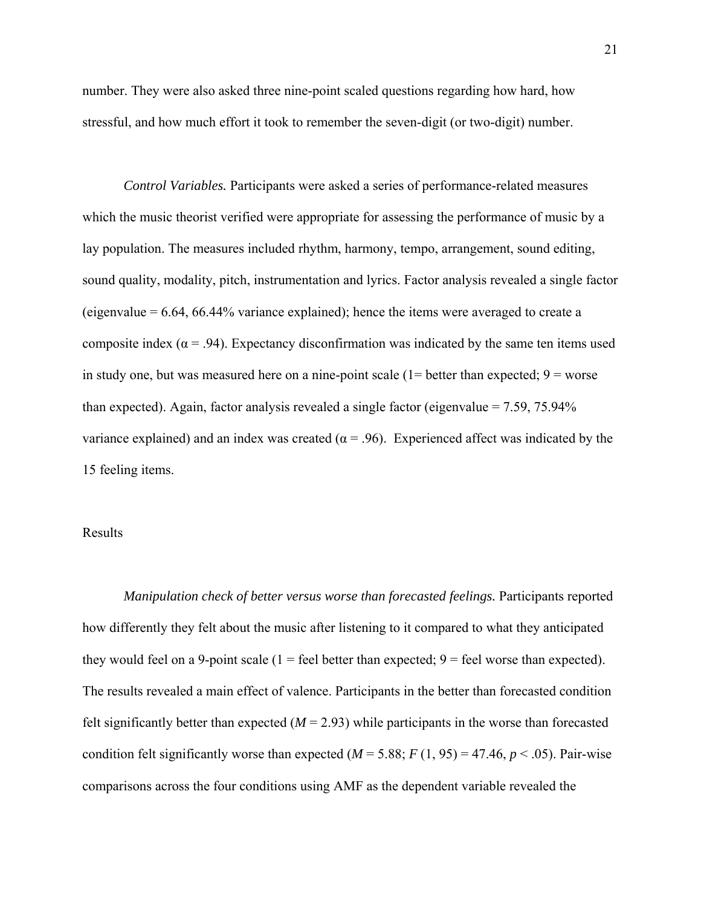number. They were also asked three nine-point scaled questions regarding how hard, how stressful, and how much effort it took to remember the seven-digit (or two-digit) number.

*Control Variables.* Participants were asked a series of performance-related measures which the music theorist verified were appropriate for assessing the performance of music by a lay population. The measures included rhythm, harmony, tempo, arrangement, sound editing, sound quality, modality, pitch, instrumentation and lyrics. Factor analysis revealed a single factor (eigenvalue = 6.64, 66.44% variance explained); hence the items were averaged to create a composite index ( $\alpha$  = .94). Expectancy disconfirmation was indicated by the same ten items used in study one, but was measured here on a nine-point scale  $(1=$  better than expected;  $9 =$  worse than expected). Again, factor analysis revealed a single factor (eigenvalue = 7.59, 75.94% variance explained) and an index was created ( $\alpha$  = .96). Experienced affect was indicated by the 15 feeling items.

### Results

*Manipulation check of better versus worse than forecasted feelings.* Participants reported how differently they felt about the music after listening to it compared to what they anticipated they would feel on a 9-point scale  $(1 =$  feel better than expected;  $9 =$  feel worse than expected). The results revealed a main effect of valence. Participants in the better than forecasted condition felt significantly better than expected  $(M = 2.93)$  while participants in the worse than forecasted condition felt significantly worse than expected  $(M = 5.88; F(1, 95) = 47.46, p < .05)$ . Pair-wise comparisons across the four conditions using AMF as the dependent variable revealed the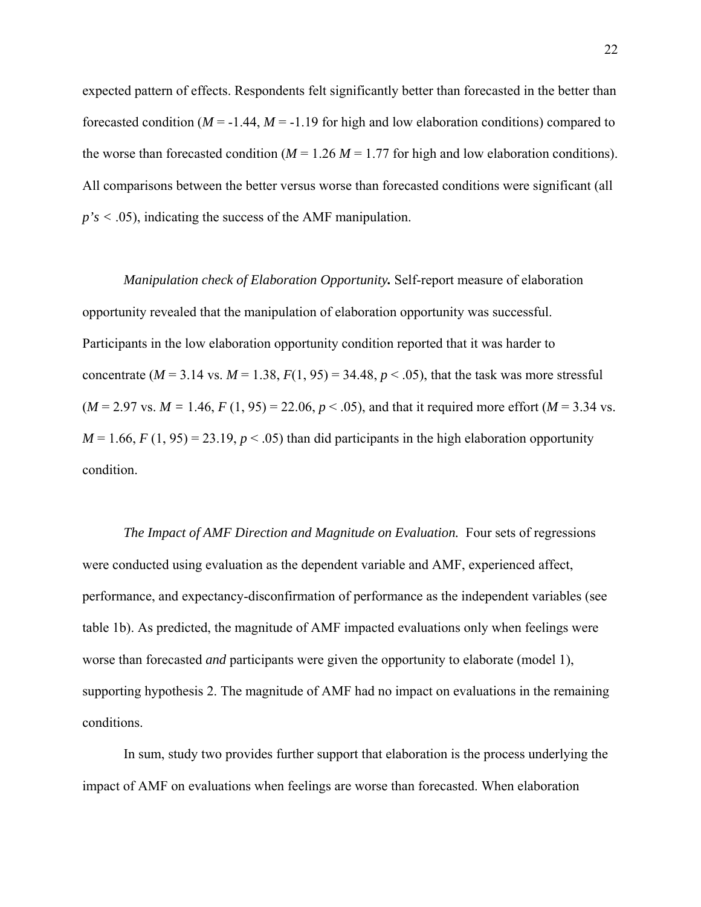expected pattern of effects. Respondents felt significantly better than forecasted in the better than forecasted condition  $(M = -1.44, M = -1.19$  for high and low elaboration conditions) compared to the worse than forecasted condition ( $M = 1.26$   $M = 1.77$  for high and low elaboration conditions). All comparisons between the better versus worse than forecasted conditions were significant (all *p's <* .05), indicating the success of the AMF manipulation.

*Manipulation check of Elaboration Opportunity.* Self-report measure of elaboration opportunity revealed that the manipulation of elaboration opportunity was successful. Participants in the low elaboration opportunity condition reported that it was harder to concentrate ( $M = 3.14$  vs.  $M = 1.38$ ,  $F(1, 95) = 34.48$ ,  $p < .05$ ), that the task was more stressful  $(M = 2.97 \text{ vs. } M = 1.46, F(1, 95) = 22.06, p < .05)$ , and that it required more effort  $(M = 3.34 \text{ vs.})$  $M = 1.66$ ,  $F(1, 95) = 23.19$ ,  $p < .05$ ) than did participants in the high elaboration opportunity condition.

*The Impact of AMF Direction and Magnitude on Evaluation.* Four sets of regressions were conducted using evaluation as the dependent variable and AMF, experienced affect, performance, and expectancy-disconfirmation of performance as the independent variables (see table 1b). As predicted, the magnitude of AMF impacted evaluations only when feelings were worse than forecasted *and* participants were given the opportunity to elaborate (model 1), supporting hypothesis 2. The magnitude of AMF had no impact on evaluations in the remaining conditions.

In sum, study two provides further support that elaboration is the process underlying the impact of AMF on evaluations when feelings are worse than forecasted. When elaboration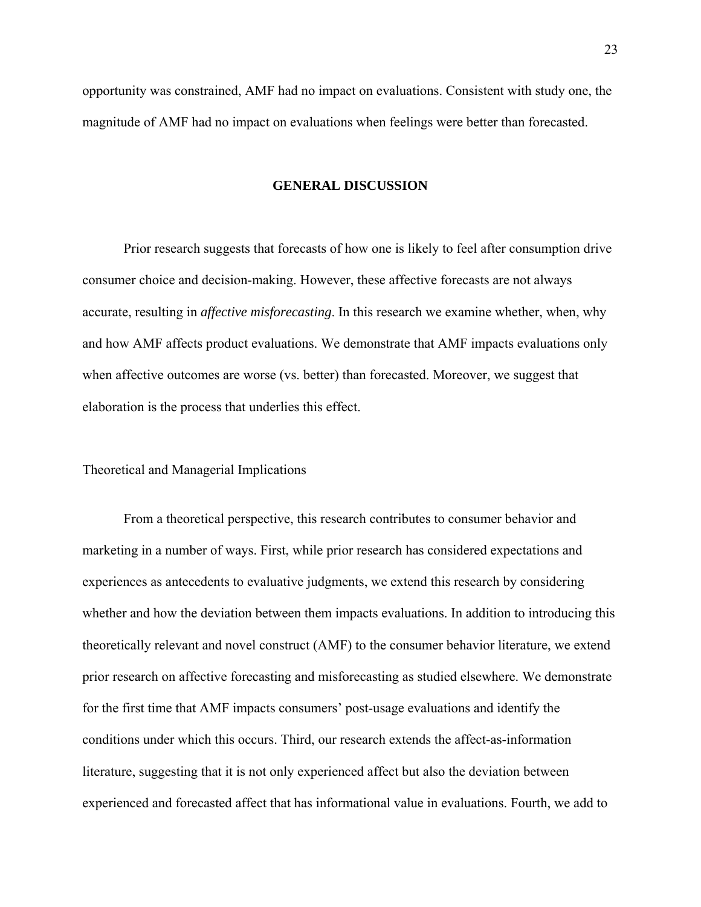opportunity was constrained, AMF had no impact on evaluations. Consistent with study one, the magnitude of AMF had no impact on evaluations when feelings were better than forecasted.

### **GENERAL DISCUSSION**

Prior research suggests that forecasts of how one is likely to feel after consumption drive consumer choice and decision-making. However, these affective forecasts are not always accurate, resulting in *affective misforecasting*. In this research we examine whether, when, why and how AMF affects product evaluations. We demonstrate that AMF impacts evaluations only when affective outcomes are worse (vs. better) than forecasted. Moreover, we suggest that elaboration is the process that underlies this effect.

Theoretical and Managerial Implications

From a theoretical perspective, this research contributes to consumer behavior and marketing in a number of ways. First, while prior research has considered expectations and experiences as antecedents to evaluative judgments, we extend this research by considering whether and how the deviation between them impacts evaluations. In addition to introducing this theoretically relevant and novel construct (AMF) to the consumer behavior literature, we extend prior research on affective forecasting and misforecasting as studied elsewhere. We demonstrate for the first time that AMF impacts consumers' post-usage evaluations and identify the conditions under which this occurs. Third, our research extends the affect-as-information literature, suggesting that it is not only experienced affect but also the deviation between experienced and forecasted affect that has informational value in evaluations. Fourth, we add to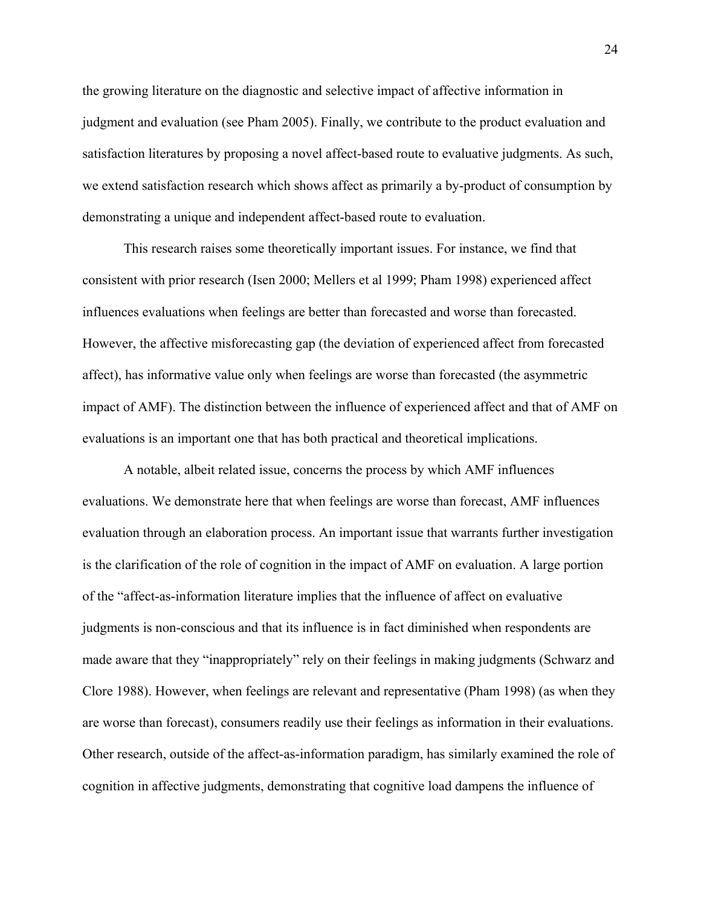the growing literature on the diagnostic and selective impact of affective information in judgment and evaluation (see Pham 2005). Finally, we contribute to the product evaluation and satisfaction literatures by proposing a novel affect-based route to evaluative judgments. As such, we extend satisfaction research which shows affect as primarily a by-product of consumption by demonstrating a unique and independent affect-based route to evaluation.

This research raises some theoretically important issues. For instance, we find that consistent with prior research (Isen 2000; Mellers et al 1999; Pham 1998) experienced affect influences evaluations when feelings are better than forecasted and worse than forecasted. However, the affective misforecasting gap (the deviation of experienced affect from forecasted affect), has informative value only when feelings are worse than forecasted (the asymmetric impact of AMF). The distinction between the influence of experienced affect and that of AMF on evaluations is an important one that has both practical and theoretical implications.

A notable, albeit related issue, concerns the process by which AMF influences evaluations. We demonstrate here that when feelings are worse than forecast, AMF influences evaluation through an elaboration process. An important issue that warrants further investigation is the clarification of the role of cognition in the impact of AMF on evaluation. A large portion of the "affect-as-information literature implies that the influence of affect on evaluative judgments is non-conscious and that its influence is in fact diminished when respondents are made aware that they "inappropriately" rely on their feelings in making judgments (Schwarz and Clore 1988). However, when feelings are relevant and representative (Pham 1998) (as when they are worse than forecast), consumers readily use their feelings as information in their evaluations. Other research, outside of the affect-as-information paradigm, has similarly examined the role of cognition in affective judgments, demonstrating that cognitive load dampens the influence of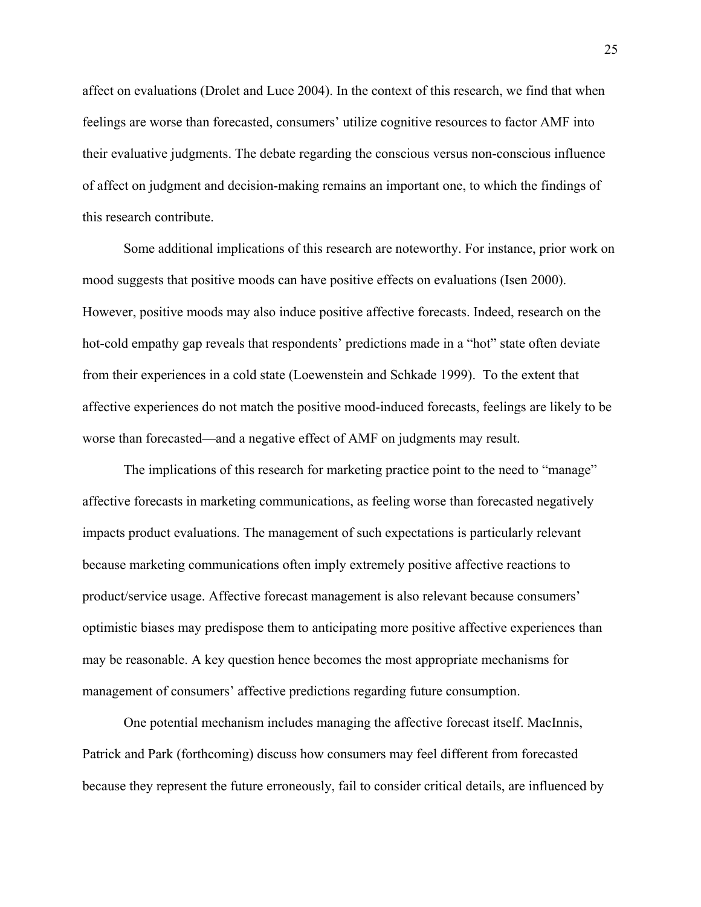affect on evaluations (Drolet and Luce 2004). In the context of this research, we find that when feelings are worse than forecasted, consumers' utilize cognitive resources to factor AMF into their evaluative judgments. The debate regarding the conscious versus non-conscious influence of affect on judgment and decision-making remains an important one, to which the findings of this research contribute.

Some additional implications of this research are noteworthy. For instance, prior work on mood suggests that positive moods can have positive effects on evaluations (Isen 2000). However, positive moods may also induce positive affective forecasts. Indeed, research on the hot-cold empathy gap reveals that respondents' predictions made in a "hot" state often deviate from their experiences in a cold state (Loewenstein and Schkade 1999). To the extent that affective experiences do not match the positive mood-induced forecasts, feelings are likely to be worse than forecasted—and a negative effect of AMF on judgments may result.

The implications of this research for marketing practice point to the need to "manage" affective forecasts in marketing communications, as feeling worse than forecasted negatively impacts product evaluations. The management of such expectations is particularly relevant because marketing communications often imply extremely positive affective reactions to product/service usage. Affective forecast management is also relevant because consumers' optimistic biases may predispose them to anticipating more positive affective experiences than may be reasonable. A key question hence becomes the most appropriate mechanisms for management of consumers' affective predictions regarding future consumption.

One potential mechanism includes managing the affective forecast itself. MacInnis, Patrick and Park (forthcoming) discuss how consumers may feel different from forecasted because they represent the future erroneously, fail to consider critical details, are influenced by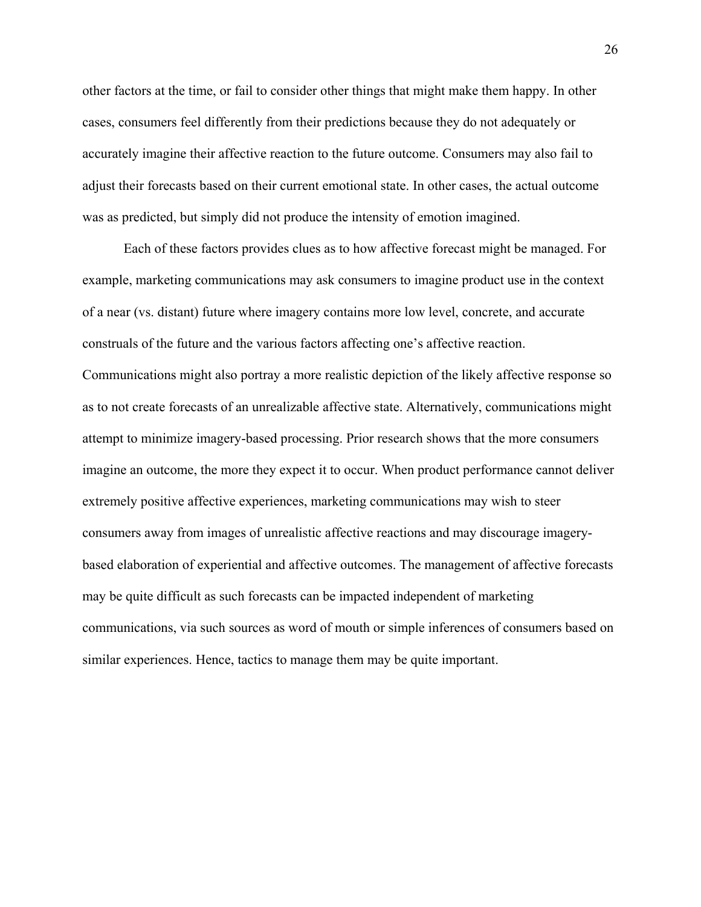other factors at the time, or fail to consider other things that might make them happy. In other cases, consumers feel differently from their predictions because they do not adequately or accurately imagine their affective reaction to the future outcome. Consumers may also fail to adjust their forecasts based on their current emotional state. In other cases, the actual outcome was as predicted, but simply did not produce the intensity of emotion imagined.

Each of these factors provides clues as to how affective forecast might be managed. For example, marketing communications may ask consumers to imagine product use in the context of a near (vs. distant) future where imagery contains more low level, concrete, and accurate construals of the future and the various factors affecting one's affective reaction. Communications might also portray a more realistic depiction of the likely affective response so as to not create forecasts of an unrealizable affective state. Alternatively, communications might attempt to minimize imagery-based processing. Prior research shows that the more consumers imagine an outcome, the more they expect it to occur. When product performance cannot deliver extremely positive affective experiences, marketing communications may wish to steer consumers away from images of unrealistic affective reactions and may discourage imagerybased elaboration of experiential and affective outcomes. The management of affective forecasts may be quite difficult as such forecasts can be impacted independent of marketing communications, via such sources as word of mouth or simple inferences of consumers based on similar experiences. Hence, tactics to manage them may be quite important.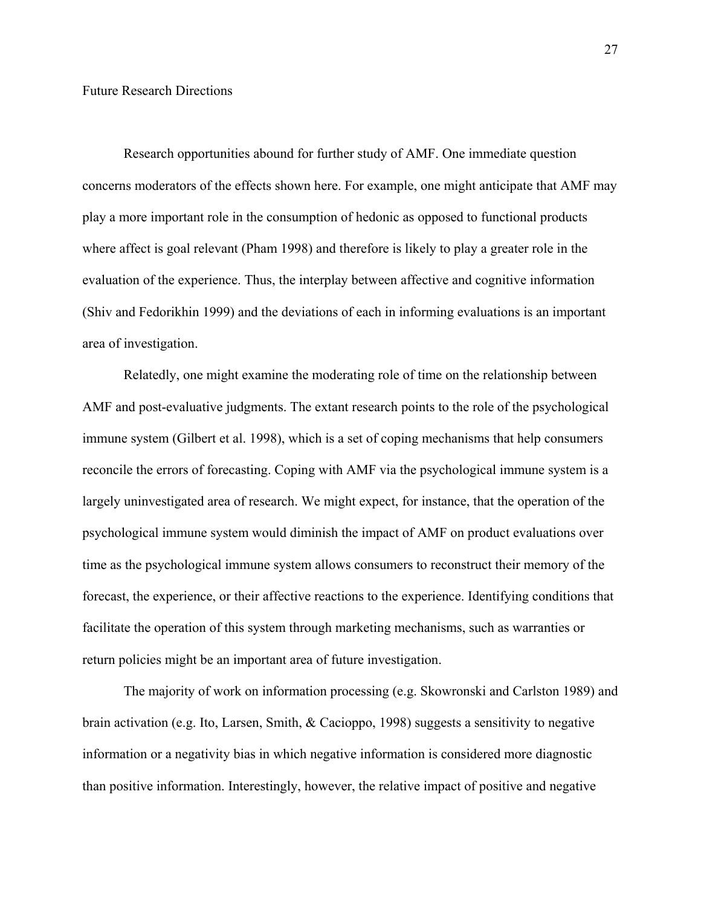Research opportunities abound for further study of AMF. One immediate question concerns moderators of the effects shown here. For example, one might anticipate that AMF may play a more important role in the consumption of hedonic as opposed to functional products where affect is goal relevant (Pham 1998) and therefore is likely to play a greater role in the evaluation of the experience. Thus, the interplay between affective and cognitive information (Shiv and Fedorikhin 1999) and the deviations of each in informing evaluations is an important area of investigation.

Relatedly, one might examine the moderating role of time on the relationship between AMF and post-evaluative judgments. The extant research points to the role of the psychological immune system (Gilbert et al. 1998), which is a set of coping mechanisms that help consumers reconcile the errors of forecasting. Coping with AMF via the psychological immune system is a largely uninvestigated area of research. We might expect, for instance, that the operation of the psychological immune system would diminish the impact of AMF on product evaluations over time as the psychological immune system allows consumers to reconstruct their memory of the forecast, the experience, or their affective reactions to the experience. Identifying conditions that facilitate the operation of this system through marketing mechanisms, such as warranties or return policies might be an important area of future investigation.

The majority of work on information processing (e.g. Skowronski and Carlston 1989) and brain activation (e.g. Ito, Larsen, Smith, & Cacioppo, 1998) suggests a sensitivity to negative information or a negativity bias in which negative information is considered more diagnostic than positive information. Interestingly, however, the relative impact of positive and negative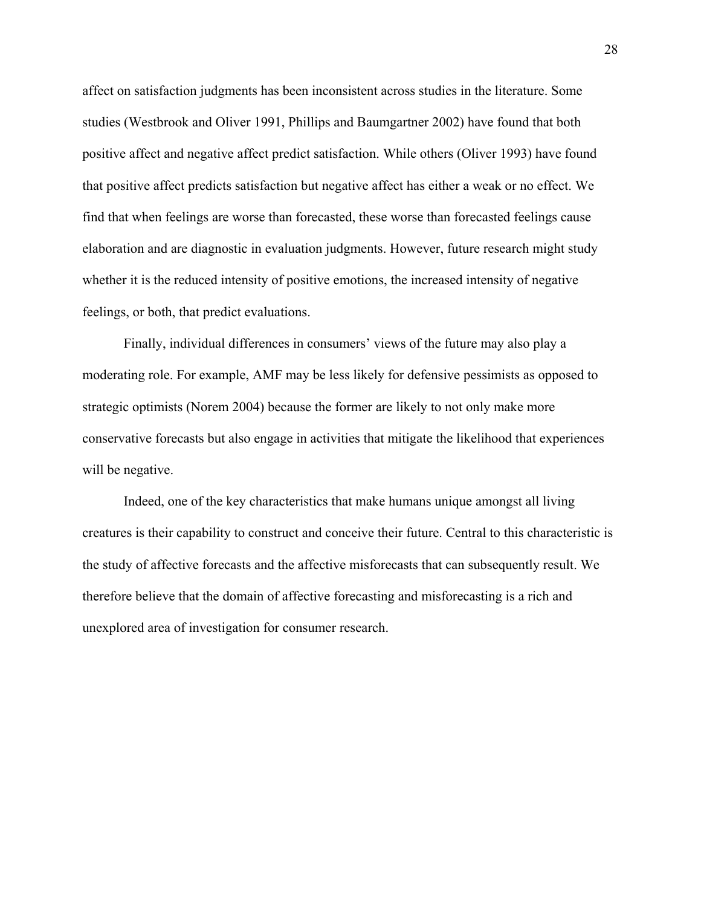affect on satisfaction judgments has been inconsistent across studies in the literature. Some studies (Westbrook and Oliver 1991, Phillips and Baumgartner 2002) have found that both positive affect and negative affect predict satisfaction. While others (Oliver 1993) have found that positive affect predicts satisfaction but negative affect has either a weak or no effect. We find that when feelings are worse than forecasted, these worse than forecasted feelings cause elaboration and are diagnostic in evaluation judgments. However, future research might study whether it is the reduced intensity of positive emotions, the increased intensity of negative feelings, or both, that predict evaluations.

Finally, individual differences in consumers' views of the future may also play a moderating role. For example, AMF may be less likely for defensive pessimists as opposed to strategic optimists (Norem 2004) because the former are likely to not only make more conservative forecasts but also engage in activities that mitigate the likelihood that experiences will be negative.

Indeed, one of the key characteristics that make humans unique amongst all living creatures is their capability to construct and conceive their future. Central to this characteristic is the study of affective forecasts and the affective misforecasts that can subsequently result. We therefore believe that the domain of affective forecasting and misforecasting is a rich and unexplored area of investigation for consumer research.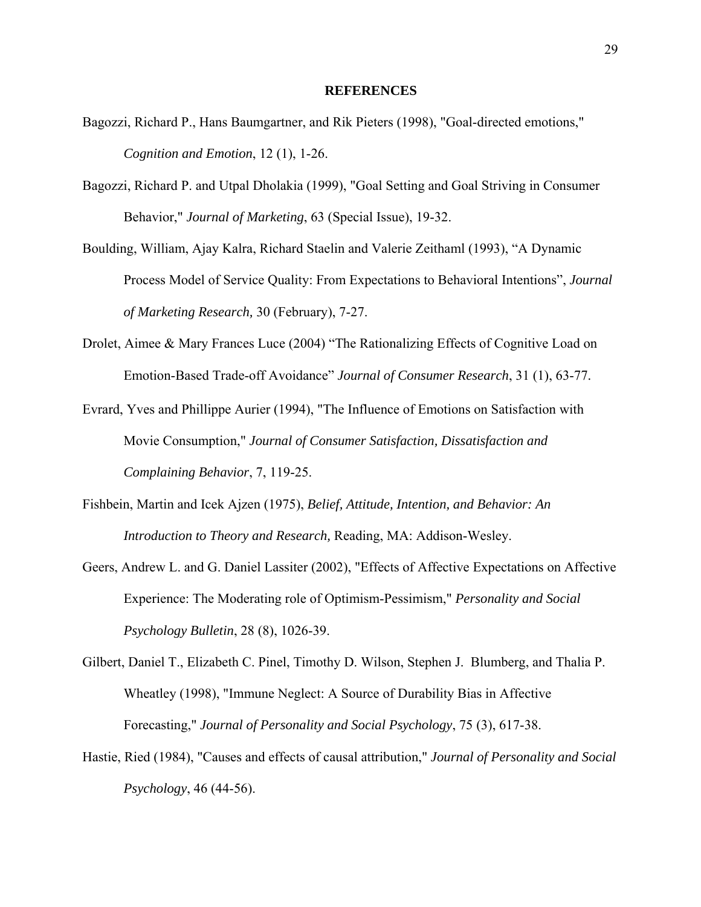#### **REFERENCES**

- Bagozzi, Richard P., Hans Baumgartner, and Rik Pieters (1998), "Goal-directed emotions," *Cognition and Emotion*, 12 (1), 1-26.
- Bagozzi, Richard P. and Utpal Dholakia (1999), "Goal Setting and Goal Striving in Consumer Behavior," *Journal of Marketing*, 63 (Special Issue), 19-32.
- Boulding, William, Ajay Kalra, Richard Staelin and Valerie Zeithaml (1993), "A Dynamic Process Model of Service Quality: From Expectations to Behavioral Intentions", *Journal of Marketing Research,* 30 (February), 7-27.
- Drolet, Aimee & Mary Frances Luce (2004) "The Rationalizing Effects of Cognitive Load on Emotion-Based Trade-off Avoidance" *Journal of Consumer Research*, 31 (1), 63-77.
- Evrard, Yves and Phillippe Aurier (1994), "The Influence of Emotions on Satisfaction with Movie Consumption," *Journal of Consumer Satisfaction, Dissatisfaction and Complaining Behavior*, 7, 119-25.
- Fishbein, Martin and Icek Ajzen (1975), *Belief, Attitude, Intention, and Behavior: An Introduction to Theory and Research,* Reading, MA: Addison-Wesley.
- Geers, Andrew L. and G. Daniel Lassiter (2002), "Effects of Affective Expectations on Affective Experience: The Moderating role of Optimism-Pessimism," *Personality and Social Psychology Bulletin*, 28 (8), 1026-39.
- Gilbert, Daniel T., Elizabeth C. Pinel, Timothy D. Wilson, Stephen J. Blumberg, and Thalia P. Wheatley (1998), "Immune Neglect: A Source of Durability Bias in Affective Forecasting," *Journal of Personality and Social Psychology*, 75 (3), 617-38.
- Hastie, Ried (1984), "Causes and effects of causal attribution," *Journal of Personality and Social Psychology*, 46 (44-56).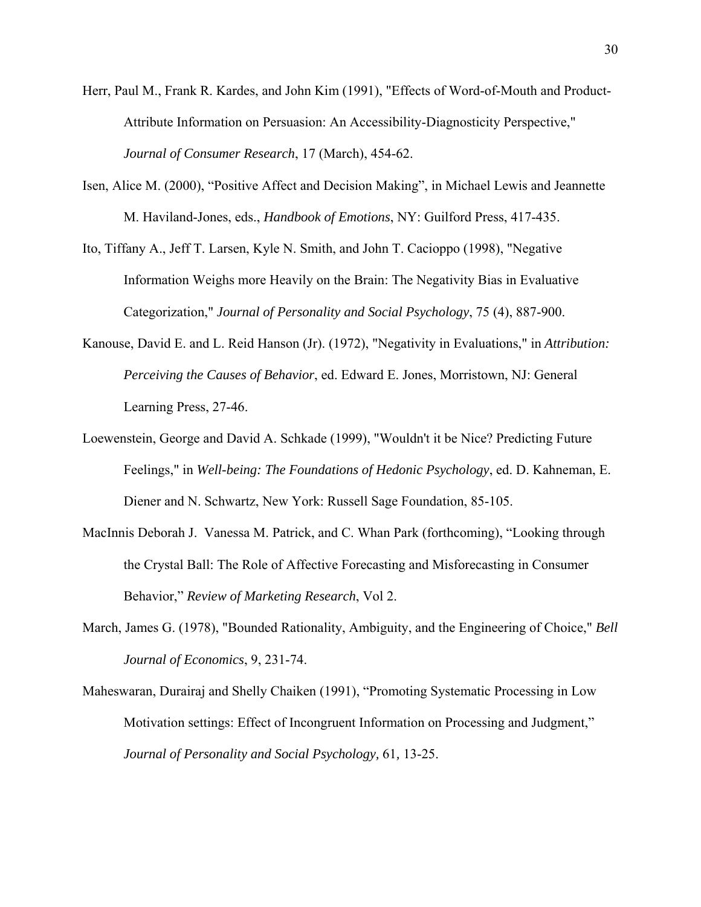- Herr, Paul M., Frank R. Kardes, and John Kim (1991), "Effects of Word-of-Mouth and Product-Attribute Information on Persuasion: An Accessibility-Diagnosticity Perspective," *Journal of Consumer Research*, 17 (March), 454-62.
- Isen, Alice M. (2000), "Positive Affect and Decision Making", in Michael Lewis and Jeannette M. Haviland-Jones, eds., *Handbook of Emotions*, NY: Guilford Press, 417-435.
- Ito, Tiffany A., Jeff T. Larsen, Kyle N. Smith, and John T. Cacioppo (1998), "Negative Information Weighs more Heavily on the Brain: The Negativity Bias in Evaluative Categorization," *Journal of Personality and Social Psychology*, 75 (4), 887-900.
- Kanouse, David E. and L. Reid Hanson (Jr). (1972), "Negativity in Evaluations," in *Attribution: Perceiving the Causes of Behavior*, ed. Edward E. Jones, Morristown, NJ: General Learning Press, 27-46.
- Loewenstein, George and David A. Schkade (1999), "Wouldn't it be Nice? Predicting Future Feelings," in *Well-being: The Foundations of Hedonic Psychology*, ed. D. Kahneman, E. Diener and N. Schwartz, New York: Russell Sage Foundation, 85-105.
- MacInnis Deborah J. Vanessa M. Patrick, and C. Whan Park (forthcoming), "Looking through the Crystal Ball: The Role of Affective Forecasting and Misforecasting in Consumer Behavior," *Review of Marketing Research*, Vol 2.
- March, James G. (1978), "Bounded Rationality, Ambiguity, and the Engineering of Choice," *Bell Journal of Economics*, 9, 231-74.
- Maheswaran, Durairaj and Shelly Chaiken (1991), "Promoting Systematic Processing in Low Motivation settings: Effect of Incongruent Information on Processing and Judgment," *Journal of Personality and Social Psychology,* 61*,* 13-25.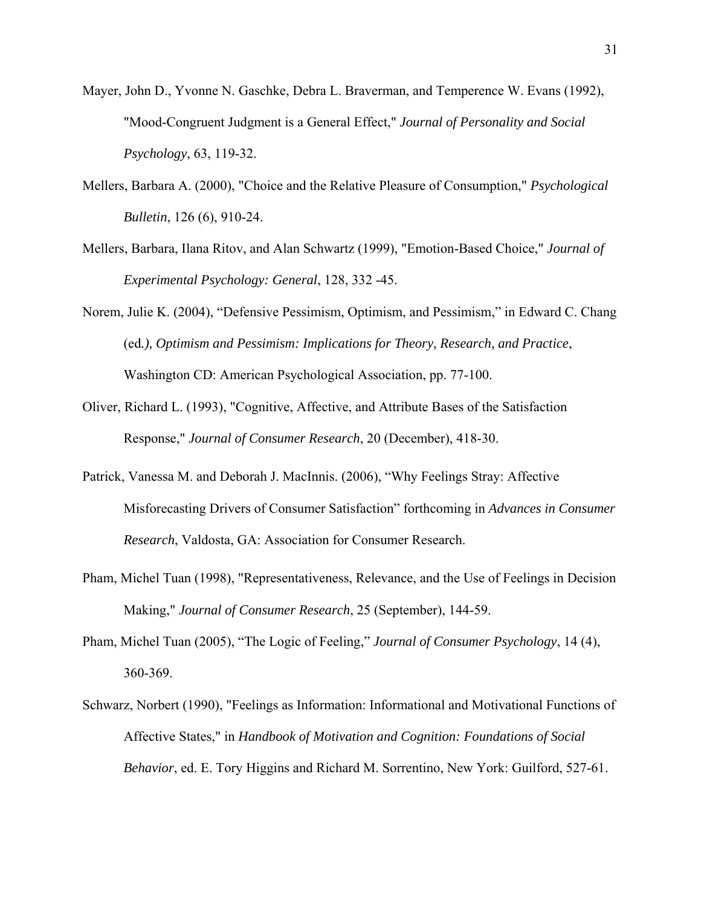- Mayer, John D., Yvonne N. Gaschke, Debra L. Braverman, and Temperence W. Evans (1992), "Mood-Congruent Judgment is a General Effect," *Journal of Personality and Social Psychology*, 63, 119-32.
- Mellers, Barbara A. (2000), "Choice and the Relative Pleasure of Consumption," *Psychological Bulletin*, 126 (6), 910-24.
- Mellers, Barbara, Ilana Ritov, and Alan Schwartz (1999), "Emotion-Based Choice," *Journal of Experimental Psychology: General*, 128, 332 -45.
- Norem, Julie K. (2004), "Defensive Pessimism, Optimism, and Pessimism," in Edward C. Chang (ed*.), Optimism and Pessimism: Implications for Theory, Research, and Practice*, Washington CD: American Psychological Association, pp. 77-100.
- Oliver, Richard L. (1993), "Cognitive, Affective, and Attribute Bases of the Satisfaction Response," *Journal of Consumer Research*, 20 (December), 418-30.
- Patrick, Vanessa M. and Deborah J. MacInnis. (2006), "Why Feelings Stray: Affective Misforecasting Drivers of Consumer Satisfaction" forthcoming in *Advances in Consumer Research*, Valdosta, GA: Association for Consumer Research.
- Pham, Michel Tuan (1998), "Representativeness, Relevance, and the Use of Feelings in Decision Making," *Journal of Consumer Research*, 25 (September), 144-59.
- Pham, Michel Tuan (2005), "The Logic of Feeling," *Journal of Consumer Psychology*, 14 (4), 360-369.
- Schwarz, Norbert (1990), "Feelings as Information: Informational and Motivational Functions of Affective States," in *Handbook of Motivation and Cognition: Foundations of Social Behavior*, ed. E. Tory Higgins and Richard M. Sorrentino, New York: Guilford, 527-61.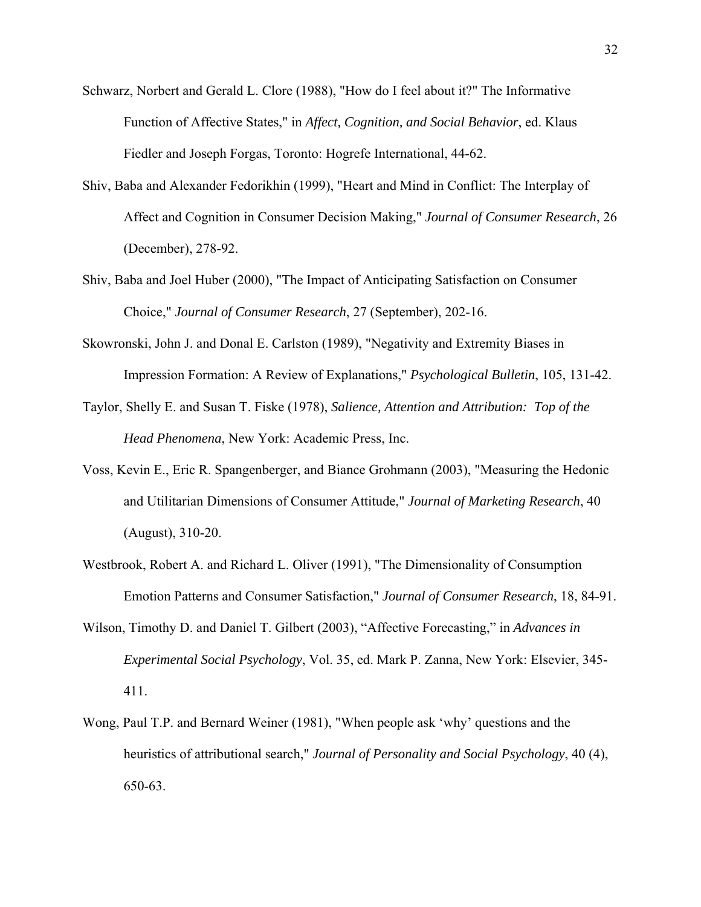- Schwarz, Norbert and Gerald L. Clore (1988), "How do I feel about it?" The Informative Function of Affective States," in *Affect, Cognition, and Social Behavior*, ed. Klaus Fiedler and Joseph Forgas, Toronto: Hogrefe International, 44-62.
- Shiv, Baba and Alexander Fedorikhin (1999), "Heart and Mind in Conflict: The Interplay of Affect and Cognition in Consumer Decision Making," *Journal of Consumer Research*, 26 (December), 278-92.
- Shiv, Baba and Joel Huber (2000), "The Impact of Anticipating Satisfaction on Consumer Choice," *Journal of Consumer Research*, 27 (September), 202-16.
- Skowronski, John J. and Donal E. Carlston (1989), "Negativity and Extremity Biases in Impression Formation: A Review of Explanations," *Psychological Bulletin*, 105, 131-42.
- Taylor, Shelly E. and Susan T. Fiske (1978), *Salience, Attention and Attribution: Top of the Head Phenomena*, New York: Academic Press, Inc.
- Voss, Kevin E., Eric R. Spangenberger, and Biance Grohmann (2003), "Measuring the Hedonic and Utilitarian Dimensions of Consumer Attitude," *Journal of Marketing Research*, 40 (August), 310-20.
- Westbrook, Robert A. and Richard L. Oliver (1991), "The Dimensionality of Consumption Emotion Patterns and Consumer Satisfaction," *Journal of Consumer Research*, 18, 84-91.
- Wilson, Timothy D. and Daniel T. Gilbert (2003), "Affective Forecasting," in *Advances in Experimental Social Psychology*, Vol. 35, ed. Mark P. Zanna, New York: Elsevier, 345- 411.
- Wong, Paul T.P. and Bernard Weiner (1981), "When people ask 'why' questions and the heuristics of attributional search," *Journal of Personality and Social Psychology*, 40 (4), 650-63.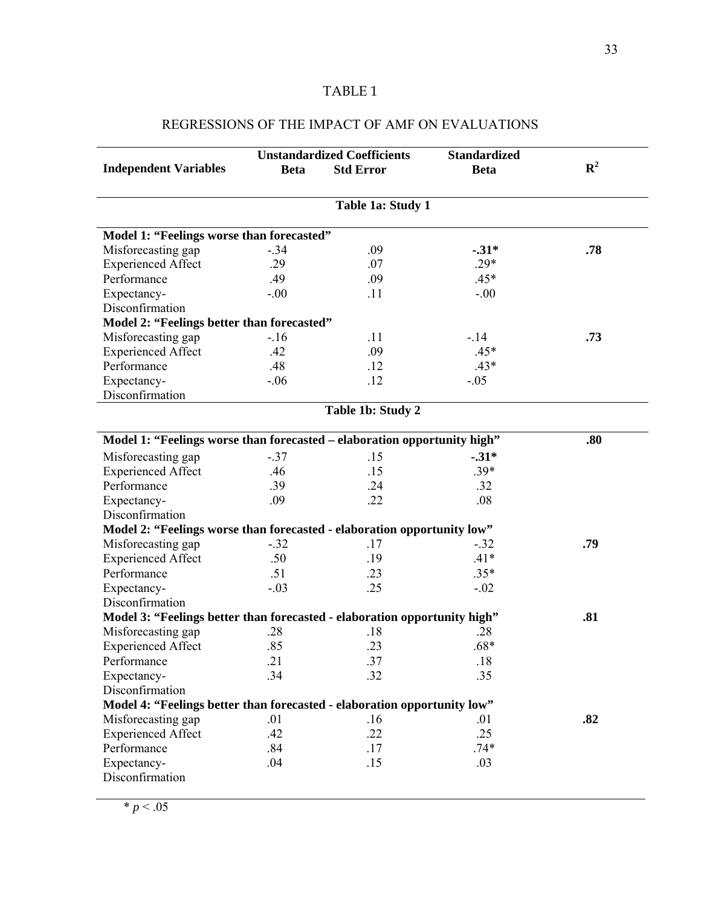#### TABLE 1

#### **Independent Variables Unstandardized Coefficients Beta Std Error Standardized**  Beta R<sup>2</sup> **Table 1a: Study 1 Model 1: "Feelings worse than forecasted"** Misforecasting gap  $-0.34$   $-0.34$   $-0.7$   $-0.31*$   $-0.7$   $-0.7$   $-0.29*$   $-0.7$ Experienced Affect .29 .07 Performance .49 .09 .45\* Expectancy-Disconfirmation  $-0.0$   $11$   $-0.00$ **Model 2: "Feelings better than forecasted"**  Misforecasting gap  $-16$   $-11$   $-14$   $-33$ Experienced Affect .42 .09 .45\* Performance  $.48$   $.12$   $.43*$ Expectancy-Disconfirmation  $-06$  .12  $-05$ **Table 1b: Study 2 Model 1: "Feelings worse than forecasted – elaboration opportunity high" .80**  Misforecasting gap  $-37$  .15  $-31*$ Experienced Affect .46 .15 .39\* Performance .39 .24 .32 Expectancy-Disconfirmation .09 .22 .08 **Model 2: "Feelings worse than forecasted - elaboration opportunity low"** Misforecasting gap -.32 .17 -.32 **.79**  Experienced Affect  $.50$  .19  $.14*$ Performance .51 .23 .35\* Expectancy-Disconfirmation  $-03$  .25  $-02$ **Model 3: "Feelings better than forecasted - elaboration opportunity high" .81**  Misforecasting gap  $.28$  .18 .28 Experienced Affect .85 .23 .68\* Performance .21 .37 .18 Expectancy-Disconfirmation .34 .32 .35 **Model 4: "Feelings better than forecasted - elaboration opportunity low"** Misforecasting gap  $.01$  .16 .01 .82 Experienced Affect .42 .22 .25 Performance .84 .17 .74\* Expectancy-Disconfirmation .04 .15 .03

### REGRESSIONS OF THE IMPACT OF AMF ON EVALUATIONS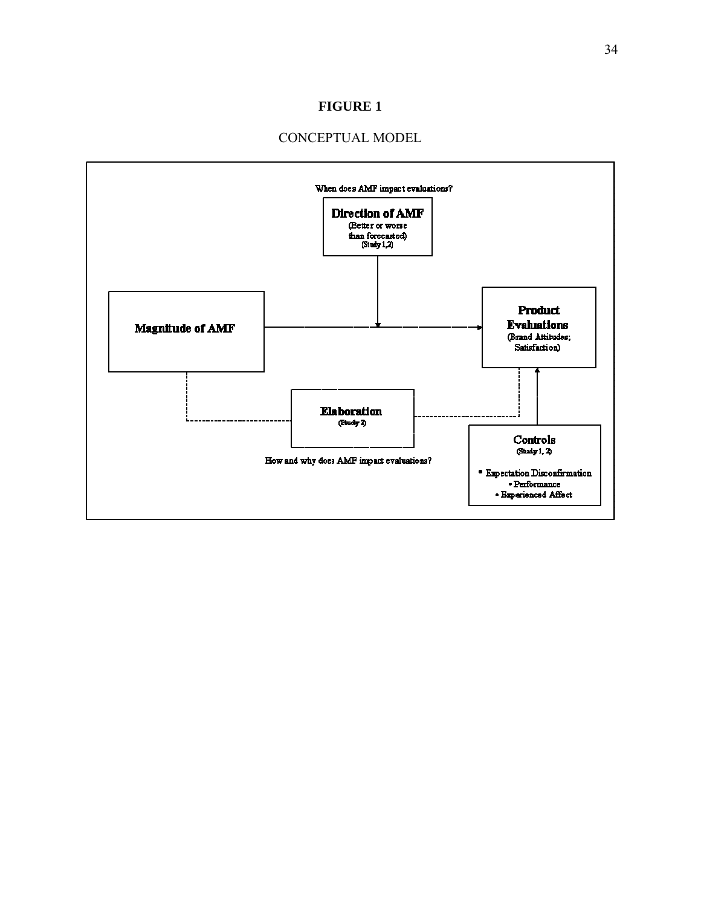## **FIGURE 1**

## CONCEPTUAL MODEL

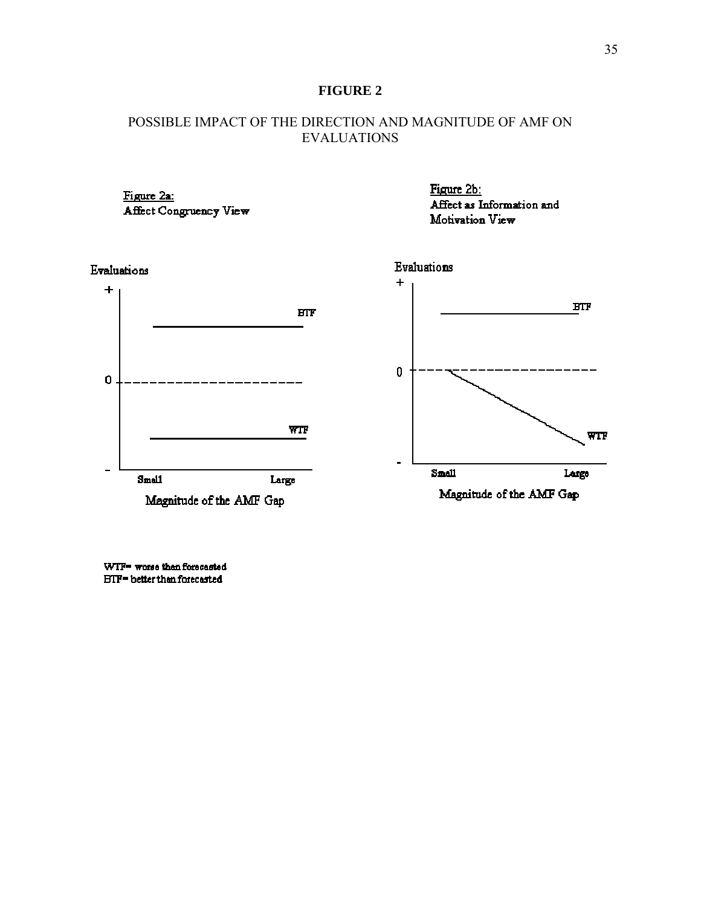## **FIGURE 2**

## POSSIBLE IMPACT OF THE DIRECTION AND MAGNITUDE OF AMF ON EVALUATIONS



WTF= worse than forecasted **BTF=** better than forecasted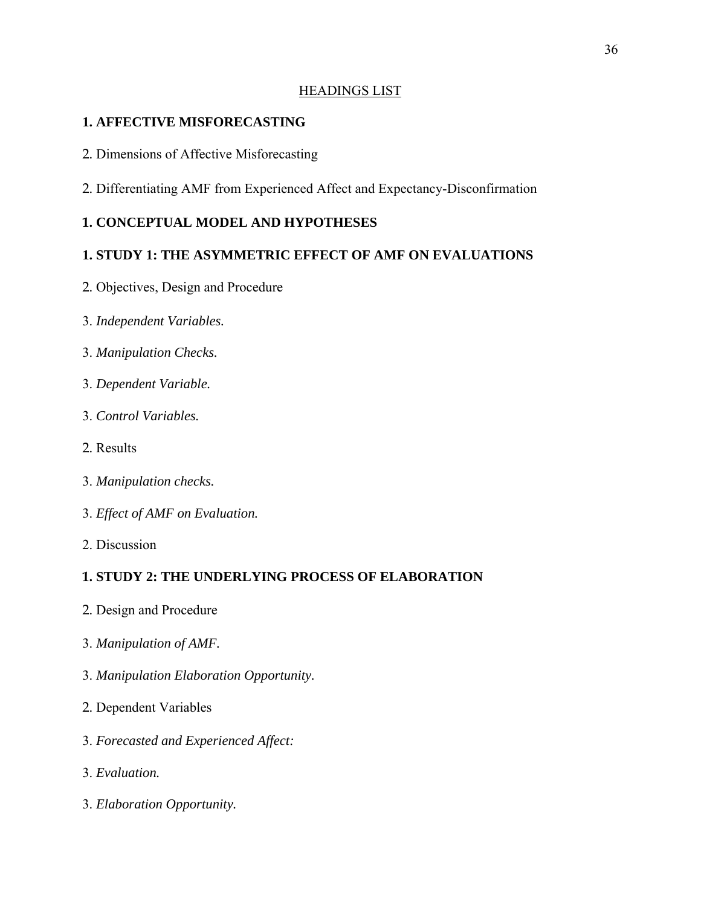## HEADINGS LIST

## **1. AFFECTIVE MISFORECASTING**

- 2. Dimensions of Affective Misforecasting
- 2. Differentiating AMF from Experienced Affect and Expectancy-Disconfirmation

# **1. CONCEPTUAL MODEL AND HYPOTHESES**

# **1. STUDY 1: THE ASYMMETRIC EFFECT OF AMF ON EVALUATIONS**

- 2. Objectives, Design and Procedure
- 3. *Independent Variables.*
- 3. *Manipulation Checks.*
- 3. *Dependent Variable.*
- 3. *Control Variables.*
- 2. Results
- 3. *Manipulation checks.*
- 3. *Effect of AMF on Evaluation.*
- 2. Discussion

# **1. STUDY 2: THE UNDERLYING PROCESS OF ELABORATION**

- 2. Design and Procedure
- 3. *Manipulation of AMF.*
- 3. *Manipulation Elaboration Opportunity.*
- 2. Dependent Variables
- 3. *Forecasted and Experienced Affect:*
- 3. *Evaluation.*
- 3. *Elaboration Opportunity.*